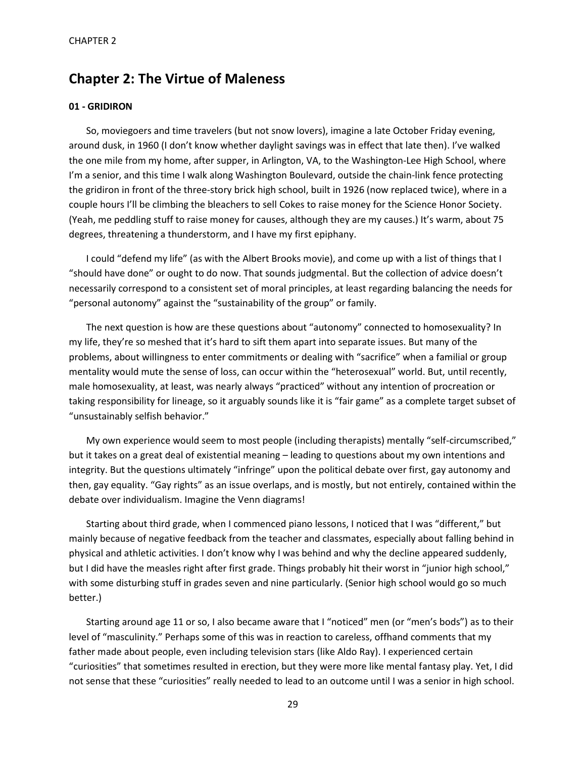# **Chapter 2: The Virtue of Maleness**

# **01 - GRIDIRON**

So, moviegoers and time travelers (but not snow lovers), imagine a late October Friday evening, around dusk, in 1960 (I don't know whether daylight savings was in effect that late then). I've walked the one mile from my home, after supper, in Arlington, VA, to the Washington-Lee High School, where I'm a senior, and this time I walk along Washington Boulevard, outside the chain-link fence protecting the gridiron in front of the three-story brick high school, built in 1926 (now replaced twice), where in a couple hours I'll be climbing the bleachers to sell Cokes to raise money for the Science Honor Society. (Yeah, me peddling stuff to raise money for causes, although they are my causes.) It's warm, about 75 degrees, threatening a thunderstorm, and I have my first epiphany.

I could "defend my life" (as with the Albert Brooks movie), and come up with a list of things that I "should have done" or ought to do now. That sounds judgmental. But the collection of advice doesn't necessarily correspond to a consistent set of moral principles, at least regarding balancing the needs for "personal autonomy" against the "sustainability of the group" or family.

The next question is how are these questions about "autonomy" connected to homosexuality? In my life, they're so meshed that it's hard to sift them apart into separate issues. But many of the problems, about willingness to enter commitments or dealing with "sacrifice" when a familial or group mentality would mute the sense of loss, can occur within the "heterosexual" world. But, until recently, male homosexuality, at least, was nearly always "practiced" without any intention of procreation or taking responsibility for lineage, so it arguably sounds like it is "fair game" as a complete target subset of "unsustainably selfish behavior."

My own experience would seem to most people (including therapists) mentally "self-circumscribed," but it takes on a great deal of existential meaning – leading to questions about my own intentions and integrity. But the questions ultimately "infringe" upon the political debate over first, gay autonomy and then, gay equality. "Gay rights" as an issue overlaps, and is mostly, but not entirely, contained within the debate over individualism. Imagine the Venn diagrams!

Starting about third grade, when I commenced piano lessons, I noticed that I was "different," but mainly because of negative feedback from the teacher and classmates, especially about falling behind in physical and athletic activities. I don't know why I was behind and why the decline appeared suddenly, but I did have the measles right after first grade. Things probably hit their worst in "junior high school," with some disturbing stuff in grades seven and nine particularly. (Senior high school would go so much better.)

Starting around age 11 or so, I also became aware that I "noticed" men (or "men's bods") as to their level of "masculinity." Perhaps some of this was in reaction to careless, offhand comments that my father made about people, even including television stars (like Aldo Ray). I experienced certain "curiosities" that sometimes resulted in erection, but they were more like mental fantasy play. Yet, I did not sense that these "curiosities" really needed to lead to an outcome until I was a senior in high school.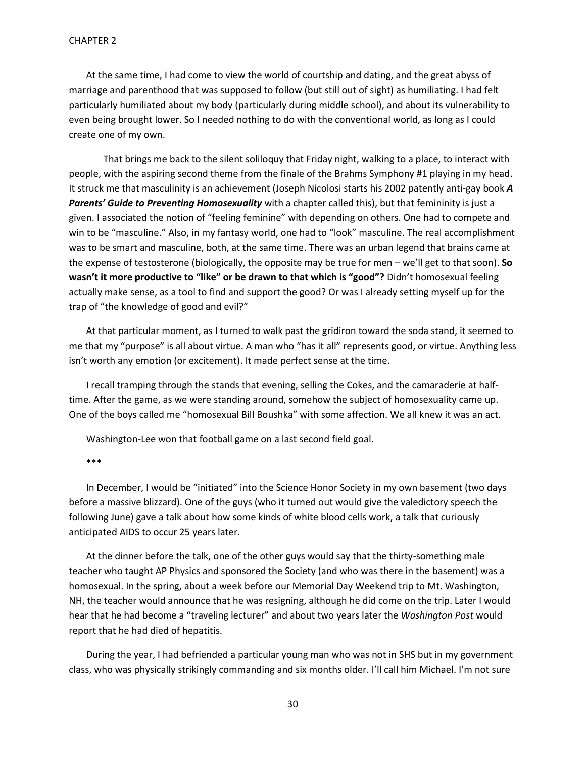At the same time, I had come to view the world of courtship and dating, and the great abyss of marriage and parenthood that was supposed to follow (but still out of sight) as humiliating. I had felt particularly humiliated about my body (particularly during middle school), and about its vulnerability to even being brought lower. So I needed nothing to do with the conventional world, as long as I could create one of my own.

That brings me back to the silent soliloquy that Friday night, walking to a place, to interact with people, with the aspiring second theme from the finale of the Brahms Symphony #1 playing in my head. It struck me that masculinity is an achievement (Joseph Nicolosi starts his 2002 patently anti-gay book *A Parents' Guide to Preventing Homosexuality* with a chapter called this), but that femininity is just a given. I associated the notion of "feeling feminine" with depending on others. One had to compete and win to be "masculine." Also, in my fantasy world, one had to "look" masculine. The real accomplishment was to be smart and masculine, both, at the same time. There was an urban legend that brains came at the expense of testosterone (biologically, the opposite may be true for men – we'll get to that soon). **So wasn't it more productive to "like" or be drawn to that which is "good"?** Didn't homosexual feeling actually make sense, as a tool to find and support the good? Or was I already setting myself up for the trap of "the knowledge of good and evil?"

At that particular moment, as I turned to walk past the gridiron toward the soda stand, it seemed to me that my "purpose" is all about virtue. A man who "has it all" represents good, or virtue. Anything less isn't worth any emotion (or excitement). It made perfect sense at the time.

I recall tramping through the stands that evening, selling the Cokes, and the camaraderie at halftime. After the game, as we were standing around, somehow the subject of homosexuality came up. One of the boys called me "homosexual Bill Boushka" with some affection. We all knew it was an act.

Washington-Lee won that football game on a last second field goal.

\*\*\*

In December, I would be "initiated" into the Science Honor Society in my own basement (two days before a massive blizzard). One of the guys (who it turned out would give the valedictory speech the following June) gave a talk about how some kinds of white blood cells work, a talk that curiously anticipated AIDS to occur 25 years later.

At the dinner before the talk, one of the other guys would say that the thirty-something male teacher who taught AP Physics and sponsored the Society (and who was there in the basement) was a homosexual. In the spring, about a week before our Memorial Day Weekend trip to Mt. Washington, NH, the teacher would announce that he was resigning, although he did come on the trip. Later I would hear that he had become a "traveling lecturer" and about two years later the *Washington Post* would report that he had died of hepatitis.

During the year, I had befriended a particular young man who was not in SHS but in my government class, who was physically strikingly commanding and six months older. I'll call him Michael. I'm not sure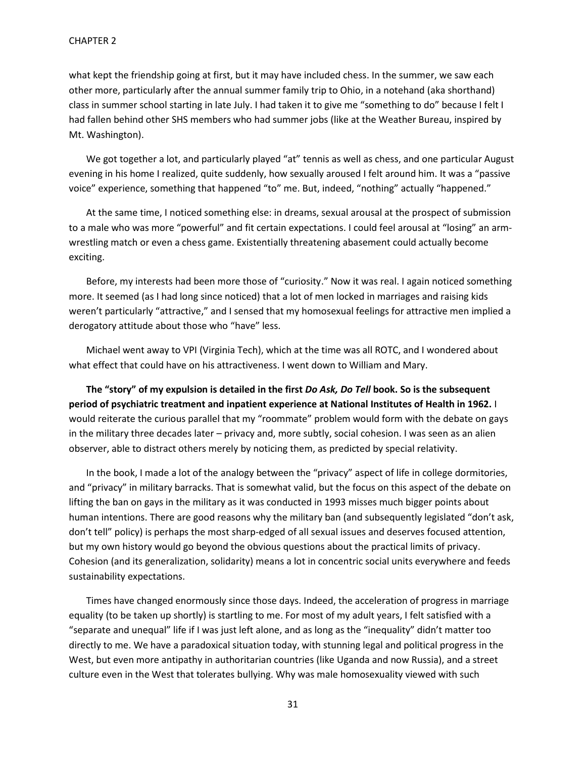what kept the friendship going at first, but it may have included chess. In the summer, we saw each other more, particularly after the annual summer family trip to Ohio, in a notehand (aka shorthand) class in summer school starting in late July. I had taken it to give me "something to do" because I felt I had fallen behind other SHS members who had summer jobs (like at the Weather Bureau, inspired by Mt. Washington).

We got together a lot, and particularly played "at" tennis as well as chess, and one particular August evening in his home I realized, quite suddenly, how sexually aroused I felt around him. It was a "passive voice" experience, something that happened "to" me. But, indeed, "nothing" actually "happened."

At the same time, I noticed something else: in dreams, sexual arousal at the prospect of submission to a male who was more "powerful" and fit certain expectations. I could feel arousal at "losing" an armwrestling match or even a chess game. Existentially threatening abasement could actually become exciting.

Before, my interests had been more those of "curiosity." Now it was real. I again noticed something more. It seemed (as I had long since noticed) that a lot of men locked in marriages and raising kids weren't particularly "attractive," and I sensed that my homosexual feelings for attractive men implied a derogatory attitude about those who "have" less.

Michael went away to VPI (Virginia Tech), which at the time was all ROTC, and I wondered about what effect that could have on his attractiveness. I went down to William and Mary.

**The "story" of my expulsion is detailed in the first** *Do Ask, Do Tell* **book. So is the subsequent period of psychiatric treatment and inpatient experience at National Institutes of Health in 1962.** I would reiterate the curious parallel that my "roommate" problem would form with the debate on gays in the military three decades later – privacy and, more subtly, social cohesion. I was seen as an alien observer, able to distract others merely by noticing them, as predicted by special relativity.

In the book, I made a lot of the analogy between the "privacy" aspect of life in college dormitories, and "privacy" in military barracks. That is somewhat valid, but the focus on this aspect of the debate on lifting the ban on gays in the military as it was conducted in 1993 misses much bigger points about human intentions. There are good reasons why the military ban (and subsequently legislated "don't ask, don't tell" policy) is perhaps the most sharp-edged of all sexual issues and deserves focused attention, but my own history would go beyond the obvious questions about the practical limits of privacy. Cohesion (and its generalization, solidarity) means a lot in concentric social units everywhere and feeds sustainability expectations.

Times have changed enormously since those days. Indeed, the acceleration of progress in marriage equality (to be taken up shortly) is startling to me. For most of my adult years, I felt satisfied with a "separate and unequal" life if I was just left alone, and as long as the "inequality" didn't matter too directly to me. We have a paradoxical situation today, with stunning legal and political progress in the West, but even more antipathy in authoritarian countries (like Uganda and now Russia), and a street culture even in the West that tolerates bullying. Why was male homosexuality viewed with such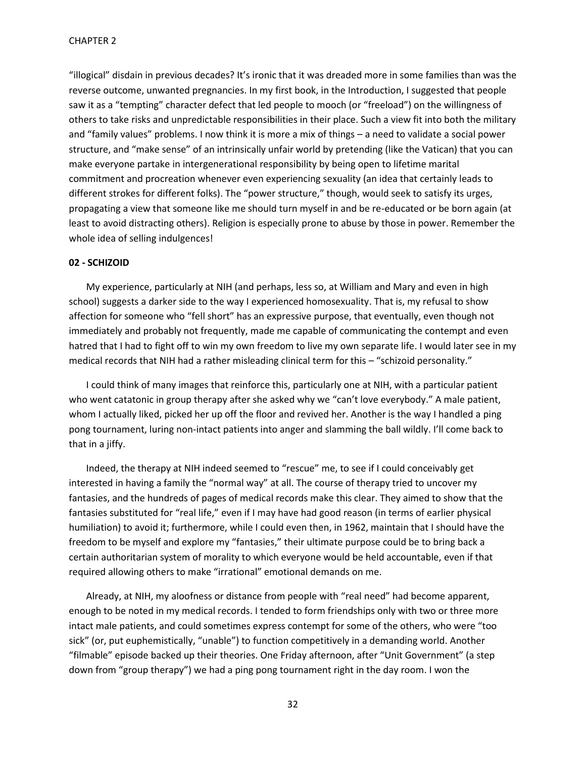"illogical" disdain in previous decades? It's ironic that it was dreaded more in some families than was the reverse outcome, unwanted pregnancies. In my first book, in the Introduction, I suggested that people saw it as a "tempting" character defect that led people to mooch (or "freeload") on the willingness of others to take risks and unpredictable responsibilities in their place. Such a view fit into both the military and "family values" problems. I now think it is more a mix of things – a need to validate a social power structure, and "make sense" of an intrinsically unfair world by pretending (like the Vatican) that you can make everyone partake in intergenerational responsibility by being open to lifetime marital commitment and procreation whenever even experiencing sexuality (an idea that certainly leads to different strokes for different folks). The "power structure," though, would seek to satisfy its urges, propagating a view that someone like me should turn myself in and be re-educated or be born again (at least to avoid distracting others). Religion is especially prone to abuse by those in power. Remember the whole idea of selling indulgences!

# **02 - SCHIZOID**

My experience, particularly at NIH (and perhaps, less so, at William and Mary and even in high school) suggests a darker side to the way I experienced homosexuality. That is, my refusal to show affection for someone who "fell short" has an expressive purpose, that eventually, even though not immediately and probably not frequently, made me capable of communicating the contempt and even hatred that I had to fight off to win my own freedom to live my own separate life. I would later see in my medical records that NIH had a rather misleading clinical term for this - "schizoid personality."

I could think of many images that reinforce this, particularly one at NIH, with a particular patient who went catatonic in group therapy after she asked why we "can't love everybody." A male patient, whom I actually liked, picked her up off the floor and revived her. Another is the way I handled a ping pong tournament, luring non-intact patients into anger and slamming the ball wildly. I'll come back to that in a jiffy.

Indeed, the therapy at NIH indeed seemed to "rescue" me, to see if I could conceivably get interested in having a family the "normal way" at all. The course of therapy tried to uncover my fantasies, and the hundreds of pages of medical records make this clear. They aimed to show that the fantasies substituted for "real life," even if I may have had good reason (in terms of earlier physical humiliation) to avoid it; furthermore, while I could even then, in 1962, maintain that I should have the freedom to be myself and explore my "fantasies," their ultimate purpose could be to bring back a certain authoritarian system of morality to which everyone would be held accountable, even if that required allowing others to make "irrational" emotional demands on me.

Already, at NIH, my aloofness or distance from people with "real need" had become apparent, enough to be noted in my medical records. I tended to form friendships only with two or three more intact male patients, and could sometimes express contempt for some of the others, who were "too sick" (or, put euphemistically, "unable") to function competitively in a demanding world. Another "filmable" episode backed up their theories. One Friday afternoon, after "Unit Government" (a step down from "group therapy") we had a ping pong tournament right in the day room. I won the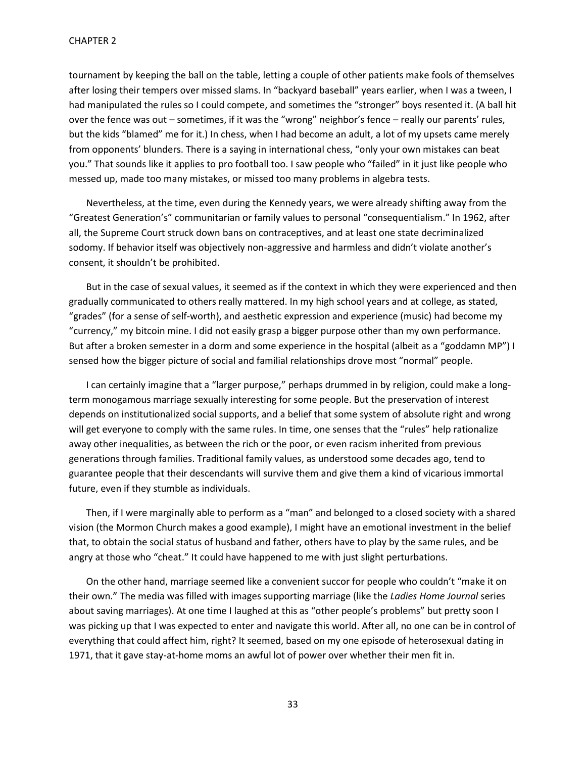tournament by keeping the ball on the table, letting a couple of other patients make fools of themselves after losing their tempers over missed slams. In "backyard baseball" years earlier, when I was a tween, I had manipulated the rules so I could compete, and sometimes the "stronger" boys resented it. (A ball hit over the fence was out – sometimes, if it was the "wrong" neighbor's fence – really our parents' rules, but the kids "blamed" me for it.) In chess, when I had become an adult, a lot of my upsets came merely from opponents' blunders. There is a saying in international chess, "only your own mistakes can beat you." That sounds like it applies to pro football too. I saw people who "failed" in it just like people who messed up, made too many mistakes, or missed too many problems in algebra tests.

Nevertheless, at the time, even during the Kennedy years, we were already shifting away from the "Greatest Generation's" communitarian or family values to personal "consequentialism." In 1962, after all, the Supreme Court struck down bans on contraceptives, and at least one state decriminalized sodomy. If behavior itself was objectively non-aggressive and harmless and didn't violate another's consent, it shouldn't be prohibited.

But in the case of sexual values, it seemed as if the context in which they were experienced and then gradually communicated to others really mattered. In my high school years and at college, as stated, "grades" (for a sense of self-worth), and aesthetic expression and experience (music) had become my "currency," my bitcoin mine. I did not easily grasp a bigger purpose other than my own performance. But after a broken semester in a dorm and some experience in the hospital (albeit as a "goddamn MP") I sensed how the bigger picture of social and familial relationships drove most "normal" people.

I can certainly imagine that a "larger purpose," perhaps drummed in by religion, could make a longterm monogamous marriage sexually interesting for some people. But the preservation of interest depends on institutionalized social supports, and a belief that some system of absolute right and wrong will get everyone to comply with the same rules. In time, one senses that the "rules" help rationalize away other inequalities, as between the rich or the poor, or even racism inherited from previous generations through families. Traditional family values, as understood some decades ago, tend to guarantee people that their descendants will survive them and give them a kind of vicarious immortal future, even if they stumble as individuals.

Then, if I were marginally able to perform as a "man" and belonged to a closed society with a shared vision (the Mormon Church makes a good example), I might have an emotional investment in the belief that, to obtain the social status of husband and father, others have to play by the same rules, and be angry at those who "cheat." It could have happened to me with just slight perturbations.

On the other hand, marriage seemed like a convenient succor for people who couldn't "make it on their own." The media was filled with images supporting marriage (like the *Ladies Home Journal* series about saving marriages). At one time I laughed at this as "other people's problems" but pretty soon I was picking up that I was expected to enter and navigate this world. After all, no one can be in control of everything that could affect him, right? It seemed, based on my one episode of heterosexual dating in 1971, that it gave stay-at-home moms an awful lot of power over whether their men fit in.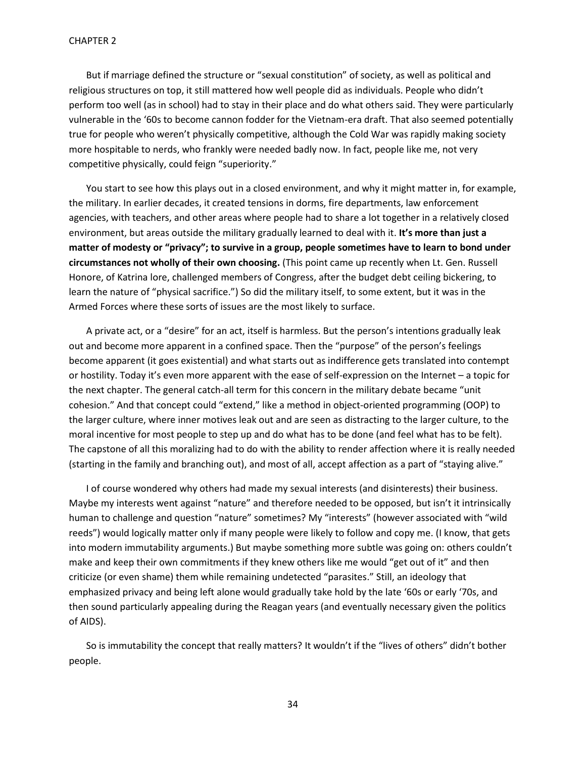But if marriage defined the structure or "sexual constitution" of society, as well as political and religious structures on top, it still mattered how well people did as individuals. People who didn't perform too well (as in school) had to stay in their place and do what others said. They were particularly vulnerable in the '60s to become cannon fodder for the Vietnam-era draft. That also seemed potentially true for people who weren't physically competitive, although the Cold War was rapidly making society more hospitable to nerds, who frankly were needed badly now. In fact, people like me, not very competitive physically, could feign "superiority."

You start to see how this plays out in a closed environment, and why it might matter in, for example, the military. In earlier decades, it created tensions in dorms, fire departments, law enforcement agencies, with teachers, and other areas where people had to share a lot together in a relatively closed environment, but areas outside the military gradually learned to deal with it. **It's more than just a matter of modesty or "privacy"; to survive in a group, people sometimes have to learn to bond under circumstances not wholly of their own choosing.** (This point came up recently when Lt. Gen. Russell Honore, of Katrina lore, challenged members of Congress, after the budget debt ceiling bickering, to learn the nature of "physical sacrifice.") So did the military itself, to some extent, but it was in the Armed Forces where these sorts of issues are the most likely to surface.

A private act, or a "desire" for an act, itself is harmless. But the person's intentions gradually leak out and become more apparent in a confined space. Then the "purpose" of the person's feelings become apparent (it goes existential) and what starts out as indifference gets translated into contempt or hostility. Today it's even more apparent with the ease of self-expression on the Internet – a topic for the next chapter. The general catch-all term for this concern in the military debate became "unit cohesion." And that concept could "extend," like a method in object-oriented programming (OOP) to the larger culture, where inner motives leak out and are seen as distracting to the larger culture, to the moral incentive for most people to step up and do what has to be done (and feel what has to be felt). The capstone of all this moralizing had to do with the ability to render affection where it is really needed (starting in the family and branching out), and most of all, accept affection as a part of "staying alive."

I of course wondered why others had made my sexual interests (and disinterests) their business. Maybe my interests went against "nature" and therefore needed to be opposed, but isn't it intrinsically human to challenge and question "nature" sometimes? My "interests" (however associated with "wild reeds") would logically matter only if many people were likely to follow and copy me. (I know, that gets into modern immutability arguments.) But maybe something more subtle was going on: others couldn't make and keep their own commitments if they knew others like me would "get out of it" and then criticize (or even shame) them while remaining undetected "parasites." Still, an ideology that emphasized privacy and being left alone would gradually take hold by the late '60s or early '70s, and then sound particularly appealing during the Reagan years (and eventually necessary given the politics of AIDS).

So is immutability the concept that really matters? It wouldn't if the "lives of others" didn't bother people.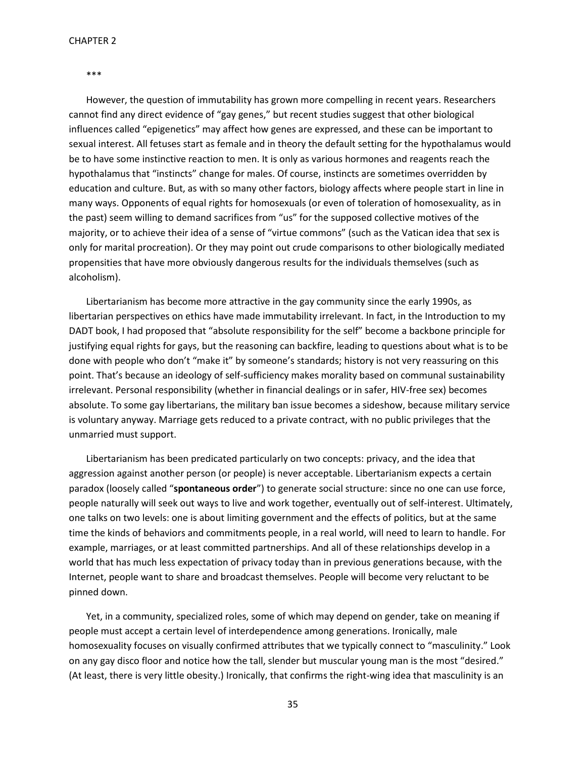#### \*\*\*

However, the question of immutability has grown more compelling in recent years. Researchers cannot find any direct evidence of "gay genes," but recent studies suggest that other biological influences called "epigenetics" may affect how genes are expressed, and these can be important to sexual interest. All fetuses start as female and in theory the default setting for the hypothalamus would be to have some instinctive reaction to men. It is only as various hormones and reagents reach the hypothalamus that "instincts" change for males. Of course, instincts are sometimes overridden by education and culture. But, as with so many other factors, biology affects where people start in line in many ways. Opponents of equal rights for homosexuals (or even of toleration of homosexuality, as in the past) seem willing to demand sacrifices from "us" for the supposed collective motives of the majority, or to achieve their idea of a sense of "virtue commons" (such as the Vatican idea that sex is only for marital procreation). Or they may point out crude comparisons to other biologically mediated propensities that have more obviously dangerous results for the individuals themselves (such as alcoholism).

Libertarianism has become more attractive in the gay community since the early 1990s, as libertarian perspectives on ethics have made immutability irrelevant. In fact, in the Introduction to my DADT book, I had proposed that "absolute responsibility for the self" become a backbone principle for justifying equal rights for gays, but the reasoning can backfire, leading to questions about what is to be done with people who don't "make it" by someone's standards; history is not very reassuring on this point. That's because an ideology of self-sufficiency makes morality based on communal sustainability irrelevant. Personal responsibility (whether in financial dealings or in safer, HIV-free sex) becomes absolute. To some gay libertarians, the military ban issue becomes a sideshow, because military service is voluntary anyway. Marriage gets reduced to a private contract, with no public privileges that the unmarried must support.

Libertarianism has been predicated particularly on two concepts: privacy, and the idea that aggression against another person (or people) is never acceptable. Libertarianism expects a certain paradox (loosely called "**spontaneous order**") to generate social structure: since no one can use force, people naturally will seek out ways to live and work together, eventually out of self-interest. Ultimately, one talks on two levels: one is about limiting government and the effects of politics, but at the same time the kinds of behaviors and commitments people, in a real world, will need to learn to handle. For example, marriages, or at least committed partnerships. And all of these relationships develop in a world that has much less expectation of privacy today than in previous generations because, with the Internet, people want to share and broadcast themselves. People will become very reluctant to be pinned down.

Yet, in a community, specialized roles, some of which may depend on gender, take on meaning if people must accept a certain level of interdependence among generations. Ironically, male homosexuality focuses on visually confirmed attributes that we typically connect to "masculinity." Look on any gay disco floor and notice how the tall, slender but muscular young man is the most "desired." (At least, there is very little obesity.) Ironically, that confirms the right-wing idea that masculinity is an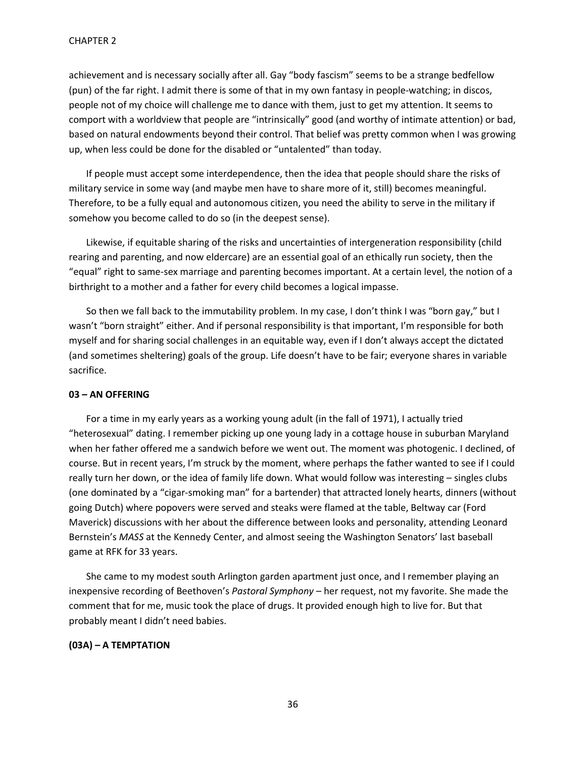achievement and is necessary socially after all. Gay "body fascism" seems to be a strange bedfellow (pun) of the far right. I admit there is some of that in my own fantasy in people-watching; in discos, people not of my choice will challenge me to dance with them, just to get my attention. It seems to comport with a worldview that people are "intrinsically" good (and worthy of intimate attention) or bad, based on natural endowments beyond their control. That belief was pretty common when I was growing up, when less could be done for the disabled or "untalented" than today.

If people must accept some interdependence, then the idea that people should share the risks of military service in some way (and maybe men have to share more of it, still) becomes meaningful. Therefore, to be a fully equal and autonomous citizen, you need the ability to serve in the military if somehow you become called to do so (in the deepest sense).

Likewise, if equitable sharing of the risks and uncertainties of intergeneration responsibility (child rearing and parenting, and now eldercare) are an essential goal of an ethically run society, then the "equal" right to same-sex marriage and parenting becomes important. At a certain level, the notion of a birthright to a mother and a father for every child becomes a logical impasse.

So then we fall back to the immutability problem. In my case, I don't think I was "born gay," but I wasn't "born straight" either. And if personal responsibility is that important, I'm responsible for both myself and for sharing social challenges in an equitable way, even if I don't always accept the dictated (and sometimes sheltering) goals of the group. Life doesn't have to be fair; everyone shares in variable sacrifice.

# **03 – AN OFFERING**

For a time in my early years as a working young adult (in the fall of 1971), I actually tried "heterosexual" dating. I remember picking up one young lady in a cottage house in suburban Maryland when her father offered me a sandwich before we went out. The moment was photogenic. I declined, of course. But in recent years, I'm struck by the moment, where perhaps the father wanted to see if I could really turn her down, or the idea of family life down. What would follow was interesting – singles clubs (one dominated by a "cigar-smoking man" for a bartender) that attracted lonely hearts, dinners (without going Dutch) where popovers were served and steaks were flamed at the table, Beltway car (Ford Maverick) discussions with her about the difference between looks and personality, attending Leonard Bernstein's *MASS* at the Kennedy Center, and almost seeing the Washington Senators' last baseball game at RFK for 33 years.

She came to my modest south Arlington garden apartment just once, and I remember playing an inexpensive recording of Beethoven's *Pastoral Symphony* – her request, not my favorite. She made the comment that for me, music took the place of drugs. It provided enough high to live for. But that probably meant I didn't need babies.

### **(03A) – A TEMPTATION**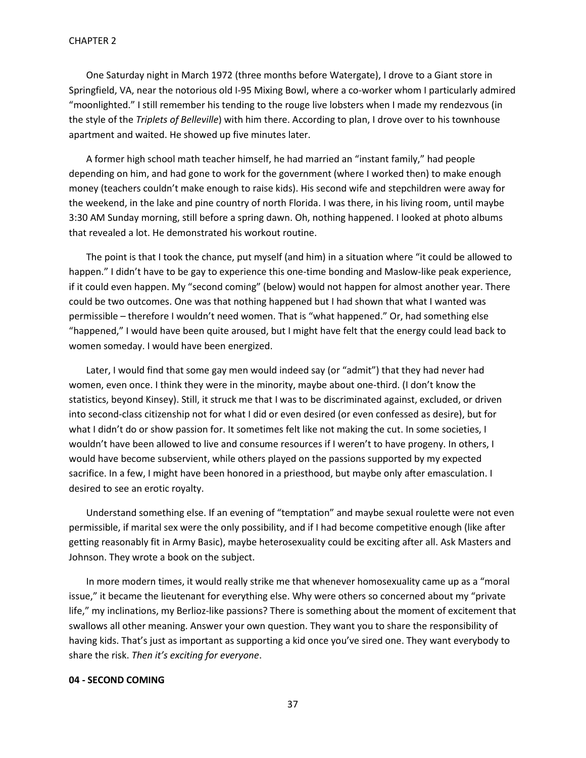One Saturday night in March 1972 (three months before Watergate), I drove to a Giant store in Springfield, VA, near the notorious old I-95 Mixing Bowl, where a co-worker whom I particularly admired "moonlighted." I still remember his tending to the rouge live lobsters when I made my rendezvous (in the style of the *Triplets of Belleville*) with him there. According to plan, I drove over to his townhouse apartment and waited. He showed up five minutes later.

A former high school math teacher himself, he had married an "instant family," had people depending on him, and had gone to work for the government (where I worked then) to make enough money (teachers couldn't make enough to raise kids). His second wife and stepchildren were away for the weekend, in the lake and pine country of north Florida. I was there, in his living room, until maybe 3:30 AM Sunday morning, still before a spring dawn. Oh, nothing happened. I looked at photo albums that revealed a lot. He demonstrated his workout routine.

The point is that I took the chance, put myself (and him) in a situation where "it could be allowed to happen." I didn't have to be gay to experience this one-time bonding and Maslow-like peak experience, if it could even happen. My "second coming" (below) would not happen for almost another year. There could be two outcomes. One was that nothing happened but I had shown that what I wanted was permissible – therefore I wouldn't need women. That is "what happened." Or, had something else "happened," I would have been quite aroused, but I might have felt that the energy could lead back to women someday. I would have been energized.

Later, I would find that some gay men would indeed say (or "admit") that they had never had women, even once. I think they were in the minority, maybe about one-third. (I don't know the statistics, beyond Kinsey). Still, it struck me that I was to be discriminated against, excluded, or driven into second-class citizenship not for what I did or even desired (or even confessed as desire), but for what I didn't do or show passion for. It sometimes felt like not making the cut. In some societies, I wouldn't have been allowed to live and consume resources if I weren't to have progeny. In others, I would have become subservient, while others played on the passions supported by my expected sacrifice. In a few, I might have been honored in a priesthood, but maybe only after emasculation. I desired to see an erotic royalty.

Understand something else. If an evening of "temptation" and maybe sexual roulette were not even permissible, if marital sex were the only possibility, and if I had become competitive enough (like after getting reasonably fit in Army Basic), maybe heterosexuality could be exciting after all. Ask Masters and Johnson. They wrote a book on the subject.

In more modern times, it would really strike me that whenever homosexuality came up as a "moral issue," it became the lieutenant for everything else. Why were others so concerned about my "private life," my inclinations, my Berlioz-like passions? There is something about the moment of excitement that swallows all other meaning. Answer your own question. They want you to share the responsibility of having kids. That's just as important as supporting a kid once you've sired one. They want everybody to share the risk. *Then it's exciting for everyone*.

# **04 - SECOND COMING**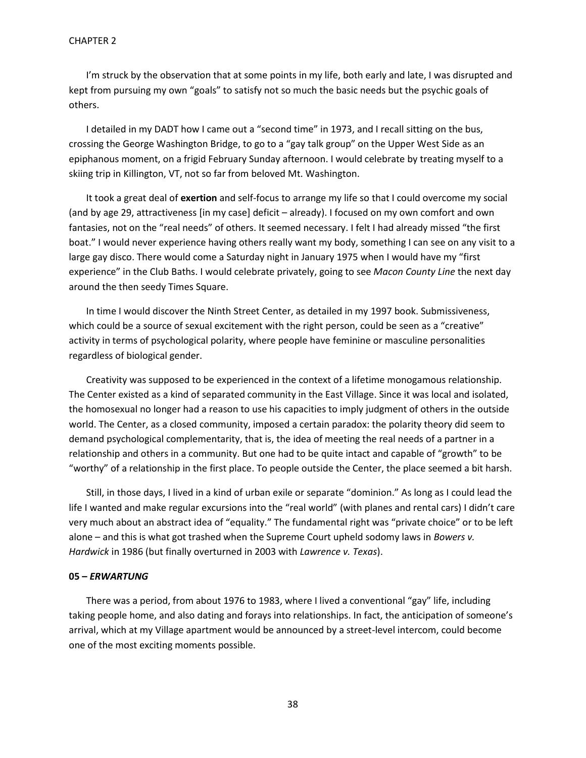## CHAPTER 2

I'm struck by the observation that at some points in my life, both early and late, I was disrupted and kept from pursuing my own "goals" to satisfy not so much the basic needs but the psychic goals of others.

I detailed in my DADT how I came out a "second time" in 1973, and I recall sitting on the bus, crossing the George Washington Bridge, to go to a "gay talk group" on the Upper West Side as an epiphanous moment, on a frigid February Sunday afternoon. I would celebrate by treating myself to a skiing trip in Killington, VT, not so far from beloved Mt. Washington.

It took a great deal of **exertion** and self-focus to arrange my life so that I could overcome my social (and by age 29, attractiveness [in my case] deficit – already). I focused on my own comfort and own fantasies, not on the "real needs" of others. It seemed necessary. I felt I had already missed "the first boat." I would never experience having others really want my body, something I can see on any visit to a large gay disco. There would come a Saturday night in January 1975 when I would have my "first experience" in the Club Baths. I would celebrate privately, going to see *Macon County Line* the next day around the then seedy Times Square.

In time I would discover the Ninth Street Center, as detailed in my 1997 book. Submissiveness, which could be a source of sexual excitement with the right person, could be seen as a "creative" activity in terms of psychological polarity, where people have feminine or masculine personalities regardless of biological gender.

Creativity was supposed to be experienced in the context of a lifetime monogamous relationship. The Center existed as a kind of separated community in the East Village. Since it was local and isolated, the homosexual no longer had a reason to use his capacities to imply judgment of others in the outside world. The Center, as a closed community, imposed a certain paradox: the polarity theory did seem to demand psychological complementarity, that is, the idea of meeting the real needs of a partner in a relationship and others in a community. But one had to be quite intact and capable of "growth" to be "worthy" of a relationship in the first place. To people outside the Center, the place seemed a bit harsh.

Still, in those days, I lived in a kind of urban exile or separate "dominion." As long as I could lead the life I wanted and make regular excursions into the "real world" (with planes and rental cars) I didn't care very much about an abstract idea of "equality." The fundamental right was "private choice" or to be left alone – and this is what got trashed when the Supreme Court upheld sodomy laws in *Bowers v. Hardwick* in 1986 (but finally overturned in 2003 with *Lawrence v. Texas*).

# **05 –** *ERWARTUNG*

There was a period, from about 1976 to 1983, where I lived a conventional "gay" life, including taking people home, and also dating and forays into relationships. In fact, the anticipation of someone's arrival, which at my Village apartment would be announced by a street-level intercom, could become one of the most exciting moments possible.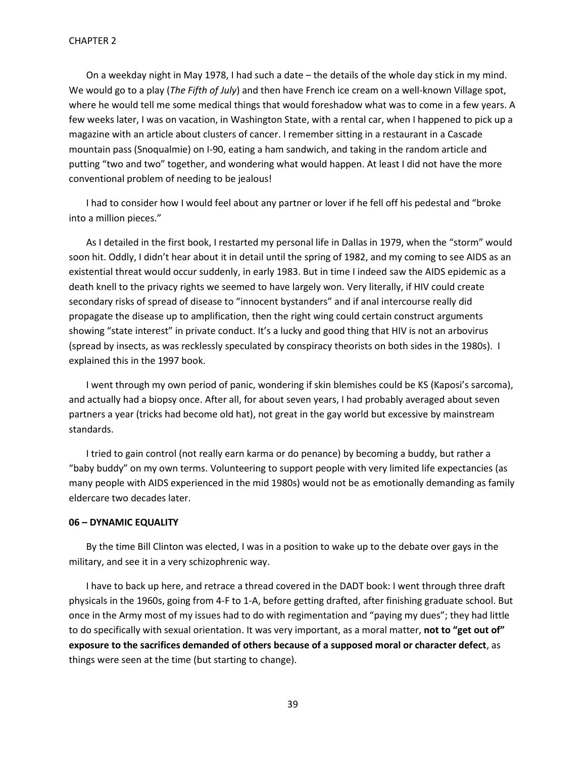On a weekday night in May 1978, I had such a date – the details of the whole day stick in my mind. We would go to a play (*The Fifth of July*) and then have French ice cream on a well-known Village spot, where he would tell me some medical things that would foreshadow what was to come in a few years. A few weeks later, I was on vacation, in Washington State, with a rental car, when I happened to pick up a magazine with an article about clusters of cancer. I remember sitting in a restaurant in a Cascade mountain pass (Snoqualmie) on I-90, eating a ham sandwich, and taking in the random article and putting "two and two" together, and wondering what would happen. At least I did not have the more conventional problem of needing to be jealous!

I had to consider how I would feel about any partner or lover if he fell off his pedestal and "broke into a million pieces."

As I detailed in the first book, I restarted my personal life in Dallas in 1979, when the "storm" would soon hit. Oddly, I didn't hear about it in detail until the spring of 1982, and my coming to see AIDS as an existential threat would occur suddenly, in early 1983. But in time I indeed saw the AIDS epidemic as a death knell to the privacy rights we seemed to have largely won. Very literally, if HIV could create secondary risks of spread of disease to "innocent bystanders" and if anal intercourse really did propagate the disease up to amplification, then the right wing could certain construct arguments showing "state interest" in private conduct. It's a lucky and good thing that HIV is not an arbovirus (spread by insects, as was recklessly speculated by conspiracy theorists on both sides in the 1980s). I explained this in the 1997 book.

I went through my own period of panic, wondering if skin blemishes could be KS (Kaposi's sarcoma), and actually had a biopsy once. After all, for about seven years, I had probably averaged about seven partners a year (tricks had become old hat), not great in the gay world but excessive by mainstream standards.

I tried to gain control (not really earn karma or do penance) by becoming a buddy, but rather a "baby buddy" on my own terms. Volunteering to support people with very limited life expectancies (as many people with AIDS experienced in the mid 1980s) would not be as emotionally demanding as family eldercare two decades later.

#### **06 – DYNAMIC EQUALITY**

By the time Bill Clinton was elected, I was in a position to wake up to the debate over gays in the military, and see it in a very schizophrenic way.

I have to back up here, and retrace a thread covered in the DADT book: I went through three draft physicals in the 1960s, going from 4-F to 1-A, before getting drafted, after finishing graduate school. But once in the Army most of my issues had to do with regimentation and "paying my dues"; they had little to do specifically with sexual orientation. It was very important, as a moral matter, **not to "get out of" exposure to the sacrifices demanded of others because of a supposed moral or character defect**, as things were seen at the time (but starting to change).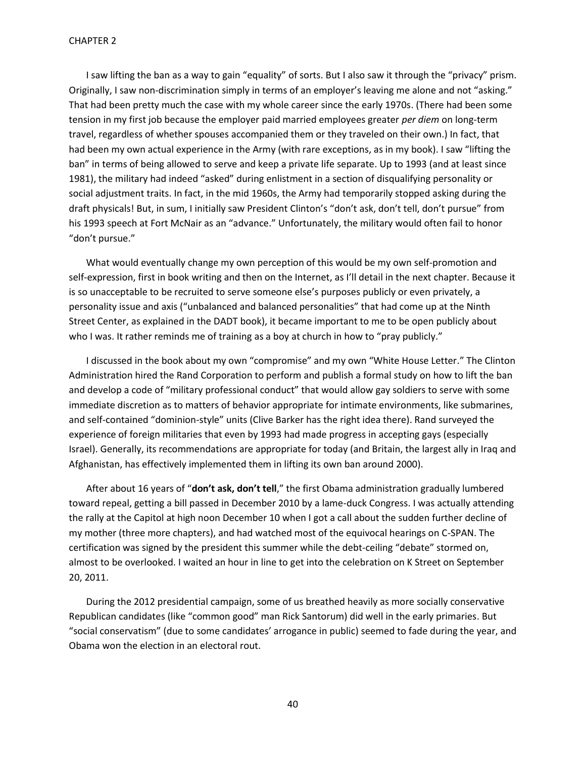I saw lifting the ban as a way to gain "equality" of sorts. But I also saw it through the "privacy" prism. Originally, I saw non-discrimination simply in terms of an employer's leaving me alone and not "asking." That had been pretty much the case with my whole career since the early 1970s. (There had been some tension in my first job because the employer paid married employees greater *per diem* on long-term travel, regardless of whether spouses accompanied them or they traveled on their own.) In fact, that had been my own actual experience in the Army (with rare exceptions, as in my book). I saw "lifting the ban" in terms of being allowed to serve and keep a private life separate. Up to 1993 (and at least since 1981), the military had indeed "asked" during enlistment in a section of disqualifying personality or social adjustment traits. In fact, in the mid 1960s, the Army had temporarily stopped asking during the draft physicals! But, in sum, I initially saw President Clinton's "don't ask, don't tell, don't pursue" from his 1993 speech at Fort McNair as an "advance." Unfortunately, the military would often fail to honor "don't pursue."

What would eventually change my own perception of this would be my own self-promotion and self-expression, first in book writing and then on the Internet, as I'll detail in the next chapter. Because it is so unacceptable to be recruited to serve someone else's purposes publicly or even privately, a personality issue and axis ("unbalanced and balanced personalities" that had come up at the Ninth Street Center, as explained in the DADT book), it became important to me to be open publicly about who I was. It rather reminds me of training as a boy at church in how to "pray publicly."

I discussed in the book about my own "compromise" and my own "White House Letter." The Clinton Administration hired the Rand Corporation to perform and publish a formal study on how to lift the ban and develop a code of "military professional conduct" that would allow gay soldiers to serve with some immediate discretion as to matters of behavior appropriate for intimate environments, like submarines, and self-contained "dominion-style" units (Clive Barker has the right idea there). Rand surveyed the experience of foreign militaries that even by 1993 had made progress in accepting gays (especially Israel). Generally, its recommendations are appropriate for today (and Britain, the largest ally in Iraq and Afghanistan, has effectively implemented them in lifting its own ban around 2000).

After about 16 years of "**don't ask, don't tell**," the first Obama administration gradually lumbered toward repeal, getting a bill passed in December 2010 by a lame-duck Congress. I was actually attending the rally at the Capitol at high noon December 10 when I got a call about the sudden further decline of my mother (three more chapters), and had watched most of the equivocal hearings on C-SPAN. The certification was signed by the president this summer while the debt-ceiling "debate" stormed on, almost to be overlooked. I waited an hour in line to get into the celebration on K Street on September 20, 2011.

During the 2012 presidential campaign, some of us breathed heavily as more socially conservative Republican candidates (like "common good" man Rick Santorum) did well in the early primaries. But "social conservatism" (due to some candidates' arrogance in public) seemed to fade during the year, and Obama won the election in an electoral rout.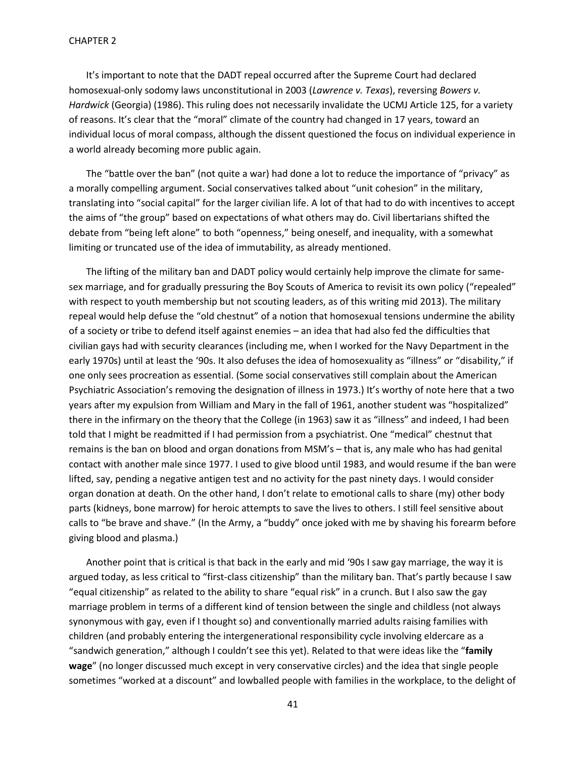It's important to note that the DADT repeal occurred after the Supreme Court had declared homosexual-only sodomy laws unconstitutional in 2003 (*Lawrence v. Texas*), reversing *Bowers v. Hardwick* (Georgia) (1986). This ruling does not necessarily invalidate the UCMJ Article 125, for a variety of reasons. It's clear that the "moral" climate of the country had changed in 17 years, toward an individual locus of moral compass, although the dissent questioned the focus on individual experience in a world already becoming more public again.

The "battle over the ban" (not quite a war) had done a lot to reduce the importance of "privacy" as a morally compelling argument. Social conservatives talked about "unit cohesion" in the military, translating into "social capital" for the larger civilian life. A lot of that had to do with incentives to accept the aims of "the group" based on expectations of what others may do. Civil libertarians shifted the debate from "being left alone" to both "openness," being oneself, and inequality, with a somewhat limiting or truncated use of the idea of immutability, as already mentioned.

The lifting of the military ban and DADT policy would certainly help improve the climate for samesex marriage, and for gradually pressuring the Boy Scouts of America to revisit its own policy ("repealed" with respect to youth membership but not scouting leaders, as of this writing mid 2013). The military repeal would help defuse the "old chestnut" of a notion that homosexual tensions undermine the ability of a society or tribe to defend itself against enemies – an idea that had also fed the difficulties that civilian gays had with security clearances (including me, when I worked for the Navy Department in the early 1970s) until at least the '90s. It also defuses the idea of homosexuality as "illness" or "disability," if one only sees procreation as essential. (Some social conservatives still complain about the American Psychiatric Association's removing the designation of illness in 1973.) It's worthy of note here that a two years after my expulsion from William and Mary in the fall of 1961, another student was "hospitalized" there in the infirmary on the theory that the College (in 1963) saw it as "illness" and indeed, I had been told that I might be readmitted if I had permission from a psychiatrist. One "medical" chestnut that remains is the ban on blood and organ donations from MSM's – that is, any male who has had genital contact with another male since 1977. I used to give blood until 1983, and would resume if the ban were lifted, say, pending a negative antigen test and no activity for the past ninety days. I would consider organ donation at death. On the other hand, I don't relate to emotional calls to share (my) other body parts (kidneys, bone marrow) for heroic attempts to save the lives to others. I still feel sensitive about calls to "be brave and shave." (In the Army, a "buddy" once joked with me by shaving his forearm before giving blood and plasma.)

Another point that is critical is that back in the early and mid '90s I saw gay marriage, the way it is argued today, as less critical to "first-class citizenship" than the military ban. That's partly because I saw "equal citizenship" as related to the ability to share "equal risk" in a crunch. But I also saw the gay marriage problem in terms of a different kind of tension between the single and childless (not always synonymous with gay, even if I thought so) and conventionally married adults raising families with children (and probably entering the intergenerational responsibility cycle involving eldercare as a "sandwich generation," although I couldn't see this yet). Related to that were ideas like the "**family wage**" (no longer discussed much except in very conservative circles) and the idea that single people sometimes "worked at a discount" and lowballed people with families in the workplace, to the delight of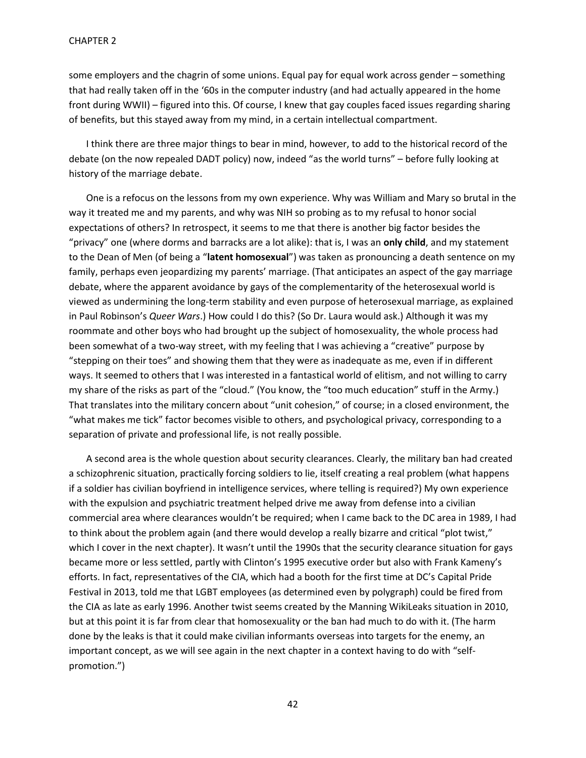some employers and the chagrin of some unions. Equal pay for equal work across gender – something that had really taken off in the '60s in the computer industry (and had actually appeared in the home front during WWII) – figured into this. Of course, I knew that gay couples faced issues regarding sharing of benefits, but this stayed away from my mind, in a certain intellectual compartment.

I think there are three major things to bear in mind, however, to add to the historical record of the debate (on the now repealed DADT policy) now, indeed "as the world turns" – before fully looking at history of the marriage debate.

One is a refocus on the lessons from my own experience. Why was William and Mary so brutal in the way it treated me and my parents, and why was NIH so probing as to my refusal to honor social expectations of others? In retrospect, it seems to me that there is another big factor besides the "privacy" one (where dorms and barracks are a lot alike): that is, I was an **only child**, and my statement to the Dean of Men (of being a "**latent homosexual**") was taken as pronouncing a death sentence on my family, perhaps even jeopardizing my parents' marriage. (That anticipates an aspect of the gay marriage debate, where the apparent avoidance by gays of the complementarity of the heterosexual world is viewed as undermining the long-term stability and even purpose of heterosexual marriage, as explained in Paul Robinson's *Queer Wars*.) How could I do this? (So Dr. Laura would ask.) Although it was my roommate and other boys who had brought up the subject of homosexuality, the whole process had been somewhat of a two-way street, with my feeling that I was achieving a "creative" purpose by "stepping on their toes" and showing them that they were as inadequate as me, even if in different ways. It seemed to others that I was interested in a fantastical world of elitism, and not willing to carry my share of the risks as part of the "cloud." (You know, the "too much education" stuff in the Army.) That translates into the military concern about "unit cohesion," of course; in a closed environment, the "what makes me tick" factor becomes visible to others, and psychological privacy, corresponding to a separation of private and professional life, is not really possible.

A second area is the whole question about security clearances. Clearly, the military ban had created a schizophrenic situation, practically forcing soldiers to lie, itself creating a real problem (what happens if a soldier has civilian boyfriend in intelligence services, where telling is required?) My own experience with the expulsion and psychiatric treatment helped drive me away from defense into a civilian commercial area where clearances wouldn't be required; when I came back to the DC area in 1989, I had to think about the problem again (and there would develop a really bizarre and critical "plot twist," which I cover in the next chapter). It wasn't until the 1990s that the security clearance situation for gays became more or less settled, partly with Clinton's 1995 executive order but also with Frank Kameny's efforts. In fact, representatives of the CIA, which had a booth for the first time at DC's Capital Pride Festival in 2013, told me that LGBT employees (as determined even by polygraph) could be fired from the CIA as late as early 1996. Another twist seems created by the Manning WikiLeaks situation in 2010, but at this point it is far from clear that homosexuality or the ban had much to do with it. (The harm done by the leaks is that it could make civilian informants overseas into targets for the enemy, an important concept, as we will see again in the next chapter in a context having to do with "selfpromotion.")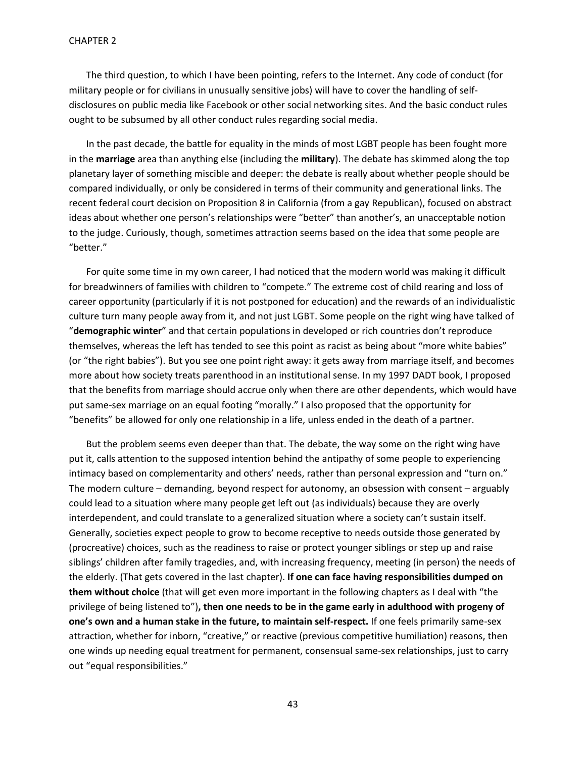The third question, to which I have been pointing, refers to the Internet. Any code of conduct (for military people or for civilians in unusually sensitive jobs) will have to cover the handling of selfdisclosures on public media like Facebook or other social networking sites. And the basic conduct rules ought to be subsumed by all other conduct rules regarding social media.

In the past decade, the battle for equality in the minds of most LGBT people has been fought more in the **marriage** area than anything else (including the **military**). The debate has skimmed along the top planetary layer of something miscible and deeper: the debate is really about whether people should be compared individually, or only be considered in terms of their community and generational links. The recent federal court decision on Proposition 8 in California (from a gay Republican), focused on abstract ideas about whether one person's relationships were "better" than another's, an unacceptable notion to the judge. Curiously, though, sometimes attraction seems based on the idea that some people are "better."

For quite some time in my own career, I had noticed that the modern world was making it difficult for breadwinners of families with children to "compete." The extreme cost of child rearing and loss of career opportunity (particularly if it is not postponed for education) and the rewards of an individualistic culture turn many people away from it, and not just LGBT. Some people on the right wing have talked of "**demographic winter**" and that certain populations in developed or rich countries don't reproduce themselves, whereas the left has tended to see this point as racist as being about "more white babies" (or "the right babies"). But you see one point right away: it gets away from marriage itself, and becomes more about how society treats parenthood in an institutional sense. In my 1997 DADT book, I proposed that the benefits from marriage should accrue only when there are other dependents, which would have put same-sex marriage on an equal footing "morally." I also proposed that the opportunity for "benefits" be allowed for only one relationship in a life, unless ended in the death of a partner.

But the problem seems even deeper than that. The debate, the way some on the right wing have put it, calls attention to the supposed intention behind the antipathy of some people to experiencing intimacy based on complementarity and others' needs, rather than personal expression and "turn on." The modern culture – demanding, beyond respect for autonomy, an obsession with consent – arguably could lead to a situation where many people get left out (as individuals) because they are overly interdependent, and could translate to a generalized situation where a society can't sustain itself. Generally, societies expect people to grow to become receptive to needs outside those generated by (procreative) choices, such as the readiness to raise or protect younger siblings or step up and raise siblings' children after family tragedies, and, with increasing frequency, meeting (in person) the needs of the elderly. (That gets covered in the last chapter). **If one can face having responsibilities dumped on them without choice** (that will get even more important in the following chapters as I deal with "the privilege of being listened to")**, then one needs to be in the game early in adulthood with progeny of one's own and a human stake in the future, to maintain self-respect.** If one feels primarily same-sex attraction, whether for inborn, "creative," or reactive (previous competitive humiliation) reasons, then one winds up needing equal treatment for permanent, consensual same-sex relationships, just to carry out "equal responsibilities."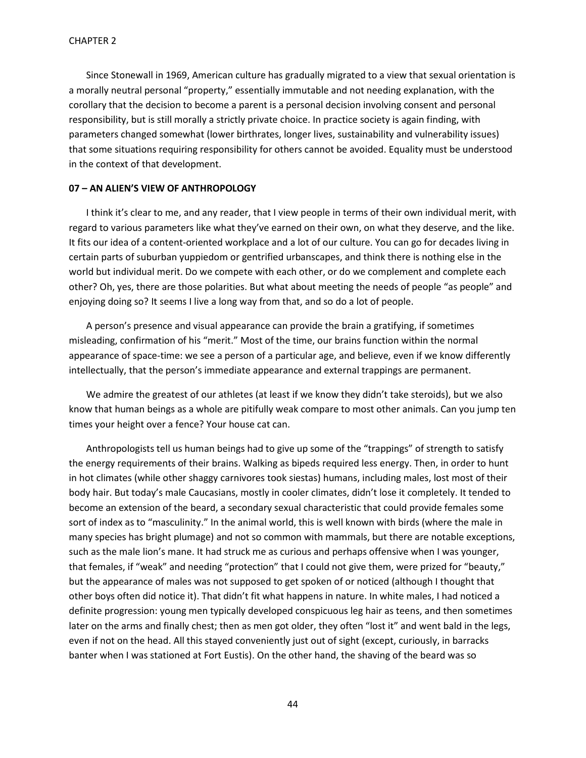Since Stonewall in 1969, American culture has gradually migrated to a view that sexual orientation is a morally neutral personal "property," essentially immutable and not needing explanation, with the corollary that the decision to become a parent is a personal decision involving consent and personal responsibility, but is still morally a strictly private choice. In practice society is again finding, with parameters changed somewhat (lower birthrates, longer lives, sustainability and vulnerability issues) that some situations requiring responsibility for others cannot be avoided. Equality must be understood in the context of that development.

# **07 – AN ALIEN'S VIEW OF ANTHROPOLOGY**

I think it's clear to me, and any reader, that I view people in terms of their own individual merit, with regard to various parameters like what they've earned on their own, on what they deserve, and the like. It fits our idea of a content-oriented workplace and a lot of our culture. You can go for decades living in certain parts of suburban yuppiedom or gentrified urbanscapes, and think there is nothing else in the world but individual merit. Do we compete with each other, or do we complement and complete each other? Oh, yes, there are those polarities. But what about meeting the needs of people "as people" and enjoying doing so? It seems I live a long way from that, and so do a lot of people.

A person's presence and visual appearance can provide the brain a gratifying, if sometimes misleading, confirmation of his "merit." Most of the time, our brains function within the normal appearance of space-time: we see a person of a particular age, and believe, even if we know differently intellectually, that the person's immediate appearance and external trappings are permanent.

We admire the greatest of our athletes (at least if we know they didn't take steroids), but we also know that human beings as a whole are pitifully weak compare to most other animals. Can you jump ten times your height over a fence? Your house cat can.

Anthropologists tell us human beings had to give up some of the "trappings" of strength to satisfy the energy requirements of their brains. Walking as bipeds required less energy. Then, in order to hunt in hot climates (while other shaggy carnivores took siestas) humans, including males, lost most of their body hair. But today's male Caucasians, mostly in cooler climates, didn't lose it completely. It tended to become an extension of the beard, a secondary sexual characteristic that could provide females some sort of index as to "masculinity." In the animal world, this is well known with birds (where the male in many species has bright plumage) and not so common with mammals, but there are notable exceptions, such as the male lion's mane. It had struck me as curious and perhaps offensive when I was younger, that females, if "weak" and needing "protection" that I could not give them, were prized for "beauty," but the appearance of males was not supposed to get spoken of or noticed (although I thought that other boys often did notice it). That didn't fit what happens in nature. In white males, I had noticed a definite progression: young men typically developed conspicuous leg hair as teens, and then sometimes later on the arms and finally chest; then as men got older, they often "lost it" and went bald in the legs, even if not on the head. All this stayed conveniently just out of sight (except, curiously, in barracks banter when I was stationed at Fort Eustis). On the other hand, the shaving of the beard was so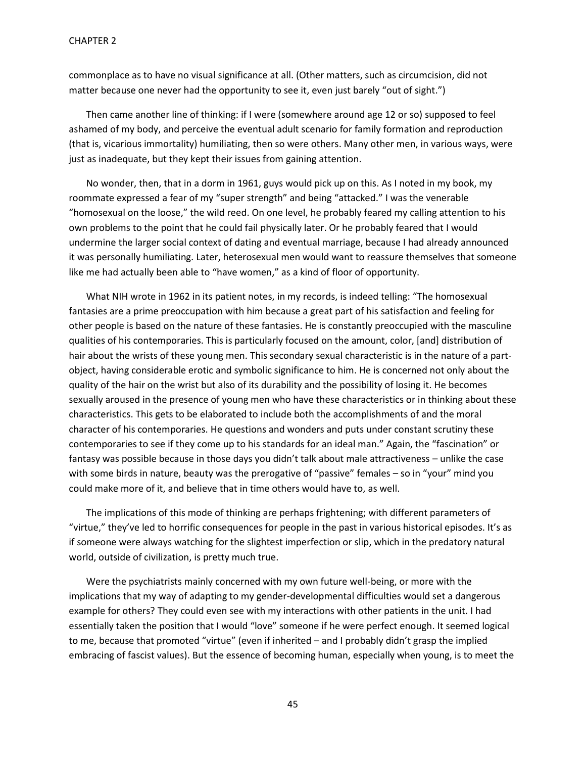commonplace as to have no visual significance at all. (Other matters, such as circumcision, did not matter because one never had the opportunity to see it, even just barely "out of sight.")

Then came another line of thinking: if I were (somewhere around age 12 or so) supposed to feel ashamed of my body, and perceive the eventual adult scenario for family formation and reproduction (that is, vicarious immortality) humiliating, then so were others. Many other men, in various ways, were just as inadequate, but they kept their issues from gaining attention.

No wonder, then, that in a dorm in 1961, guys would pick up on this. As I noted in my book, my roommate expressed a fear of my "super strength" and being "attacked." I was the venerable "homosexual on the loose," the wild reed. On one level, he probably feared my calling attention to his own problems to the point that he could fail physically later. Or he probably feared that I would undermine the larger social context of dating and eventual marriage, because I had already announced it was personally humiliating. Later, heterosexual men would want to reassure themselves that someone like me had actually been able to "have women," as a kind of floor of opportunity.

What NIH wrote in 1962 in its patient notes, in my records, is indeed telling: "The homosexual fantasies are a prime preoccupation with him because a great part of his satisfaction and feeling for other people is based on the nature of these fantasies. He is constantly preoccupied with the masculine qualities of his contemporaries. This is particularly focused on the amount, color, [and] distribution of hair about the wrists of these young men. This secondary sexual characteristic is in the nature of a partobject, having considerable erotic and symbolic significance to him. He is concerned not only about the quality of the hair on the wrist but also of its durability and the possibility of losing it. He becomes sexually aroused in the presence of young men who have these characteristics or in thinking about these characteristics. This gets to be elaborated to include both the accomplishments of and the moral character of his contemporaries. He questions and wonders and puts under constant scrutiny these contemporaries to see if they come up to his standards for an ideal man." Again, the "fascination" or fantasy was possible because in those days you didn't talk about male attractiveness – unlike the case with some birds in nature, beauty was the prerogative of "passive" females – so in "your" mind you could make more of it, and believe that in time others would have to, as well.

The implications of this mode of thinking are perhaps frightening; with different parameters of "virtue," they've led to horrific consequences for people in the past in various historical episodes. It's as if someone were always watching for the slightest imperfection or slip, which in the predatory natural world, outside of civilization, is pretty much true.

Were the psychiatrists mainly concerned with my own future well-being, or more with the implications that my way of adapting to my gender-developmental difficulties would set a dangerous example for others? They could even see with my interactions with other patients in the unit. I had essentially taken the position that I would "love" someone if he were perfect enough. It seemed logical to me, because that promoted "virtue" (even if inherited – and I probably didn't grasp the implied embracing of fascist values). But the essence of becoming human, especially when young, is to meet the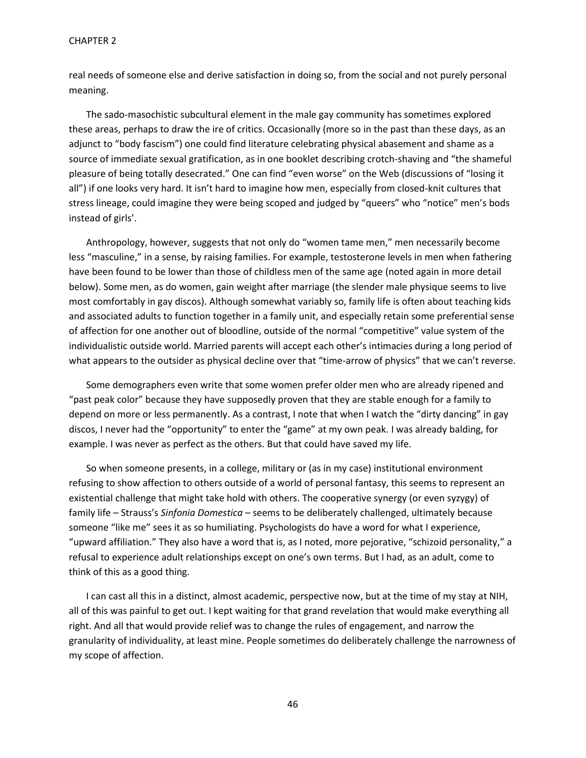#### CHAPTER 2

real needs of someone else and derive satisfaction in doing so, from the social and not purely personal meaning.

The sado-masochistic subcultural element in the male gay community has sometimes explored these areas, perhaps to draw the ire of critics. Occasionally (more so in the past than these days, as an adjunct to "body fascism") one could find literature celebrating physical abasement and shame as a source of immediate sexual gratification, as in one booklet describing crotch-shaving and "the shameful pleasure of being totally desecrated." One can find "even worse" on the Web (discussions of "losing it all") if one looks very hard. It isn't hard to imagine how men, especially from closed-knit cultures that stress lineage, could imagine they were being scoped and judged by "queers" who "notice" men's bods instead of girls'.

Anthropology, however, suggests that not only do "women tame men," men necessarily become less "masculine," in a sense, by raising families. For example, testosterone levels in men when fathering have been found to be lower than those of childless men of the same age (noted again in more detail below). Some men, as do women, gain weight after marriage (the slender male physique seems to live most comfortably in gay discos). Although somewhat variably so, family life is often about teaching kids and associated adults to function together in a family unit, and especially retain some preferential sense of affection for one another out of bloodline, outside of the normal "competitive" value system of the individualistic outside world. Married parents will accept each other's intimacies during a long period of what appears to the outsider as physical decline over that "time-arrow of physics" that we can't reverse.

Some demographers even write that some women prefer older men who are already ripened and "past peak color" because they have supposedly proven that they are stable enough for a family to depend on more or less permanently. As a contrast, I note that when I watch the "dirty dancing" in gay discos, I never had the "opportunity" to enter the "game" at my own peak. I was already balding, for example. I was never as perfect as the others. But that could have saved my life.

So when someone presents, in a college, military or (as in my case) institutional environment refusing to show affection to others outside of a world of personal fantasy, this seems to represent an existential challenge that might take hold with others. The cooperative synergy (or even syzygy) of family life – Strauss's *Sinfonia Domestica* – seems to be deliberately challenged, ultimately because someone "like me" sees it as so humiliating. Psychologists do have a word for what I experience, "upward affiliation." They also have a word that is, as I noted, more pejorative, "schizoid personality," a refusal to experience adult relationships except on one's own terms. But I had, as an adult, come to think of this as a good thing.

I can cast all this in a distinct, almost academic, perspective now, but at the time of my stay at NIH, all of this was painful to get out. I kept waiting for that grand revelation that would make everything all right. And all that would provide relief was to change the rules of engagement, and narrow the granularity of individuality, at least mine. People sometimes do deliberately challenge the narrowness of my scope of affection.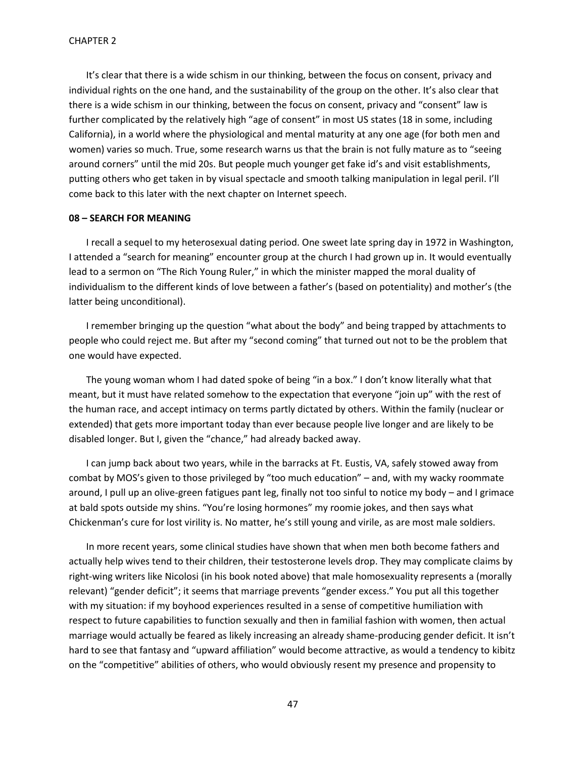It's clear that there is a wide schism in our thinking, between the focus on consent, privacy and individual rights on the one hand, and the sustainability of the group on the other. It's also clear that there is a wide schism in our thinking, between the focus on consent, privacy and "consent" law is further complicated by the relatively high "age of consent" in most US states (18 in some, including California), in a world where the physiological and mental maturity at any one age (for both men and women) varies so much. True, some research warns us that the brain is not fully mature as to "seeing around corners" until the mid 20s. But people much younger get fake id's and visit establishments, putting others who get taken in by visual spectacle and smooth talking manipulation in legal peril. I'll come back to this later with the next chapter on Internet speech.

# **08 – SEARCH FOR MEANING**

I recall a sequel to my heterosexual dating period. One sweet late spring day in 1972 in Washington, I attended a "search for meaning" encounter group at the church I had grown up in. It would eventually lead to a sermon on "The Rich Young Ruler," in which the minister mapped the moral duality of individualism to the different kinds of love between a father's (based on potentiality) and mother's (the latter being unconditional).

I remember bringing up the question "what about the body" and being trapped by attachments to people who could reject me. But after my "second coming" that turned out not to be the problem that one would have expected.

The young woman whom I had dated spoke of being "in a box." I don't know literally what that meant, but it must have related somehow to the expectation that everyone "join up" with the rest of the human race, and accept intimacy on terms partly dictated by others. Within the family (nuclear or extended) that gets more important today than ever because people live longer and are likely to be disabled longer. But I, given the "chance," had already backed away.

I can jump back about two years, while in the barracks at Ft. Eustis, VA, safely stowed away from combat by MOS's given to those privileged by "too much education" – and, with my wacky roommate around, I pull up an olive-green fatigues pant leg, finally not too sinful to notice my body – and I grimace at bald spots outside my shins. "You're losing hormones" my roomie jokes, and then says what Chickenman's cure for lost virility is. No matter, he's still young and virile, as are most male soldiers.

In more recent years, some clinical studies have shown that when men both become fathers and actually help wives tend to their children, their testosterone levels drop. They may complicate claims by right-wing writers like Nicolosi (in his book noted above) that male homosexuality represents a (morally relevant) "gender deficit"; it seems that marriage prevents "gender excess." You put all this together with my situation: if my boyhood experiences resulted in a sense of competitive humiliation with respect to future capabilities to function sexually and then in familial fashion with women, then actual marriage would actually be feared as likely increasing an already shame-producing gender deficit. It isn't hard to see that fantasy and "upward affiliation" would become attractive, as would a tendency to kibitz on the "competitive" abilities of others, who would obviously resent my presence and propensity to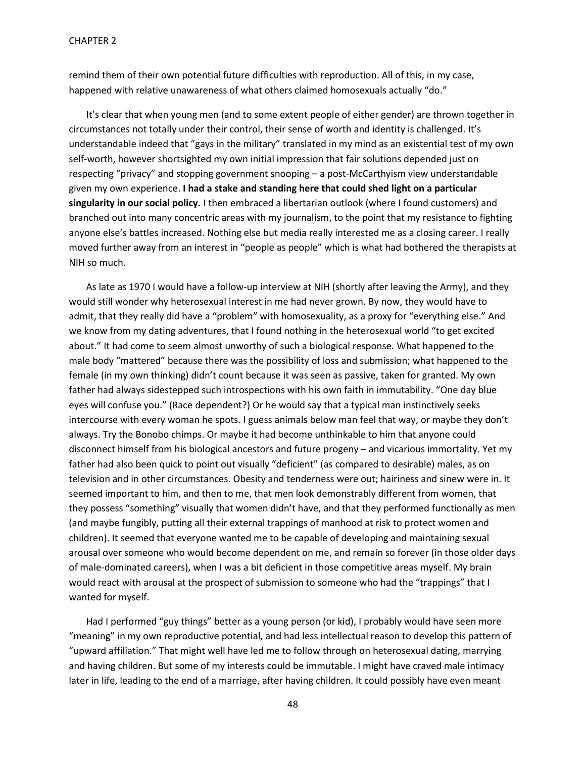remind them of their own potential future difficulties with reproduction. All of this, in my case, happened with relative unawareness of what others claimed homosexuals actually "do."

It's clear that when young men (and to some extent people of either gender) are thrown together in circumstances not totally under their control, their sense of worth and identity is challenged. It's understandable indeed that "gays in the military" translated in my mind as an existential test of my own self-worth, however shortsighted my own initial impression that fair solutions depended just on respecting "privacy" and stopping government snooping – a post-McCarthyism view understandable given my own experience. **I had a stake and standing here that could shed light on a particular singularity in our social policy.** I then embraced a libertarian outlook (where I found customers) and branched out into many concentric areas with my journalism, to the point that my resistance to fighting anyone else's battles increased. Nothing else but media really interested me as a closing career. I really moved further away from an interest in "people as people" which is what had bothered the therapists at NIH so much.

As late as 1970 I would have a follow-up interview at NIH (shortly after leaving the Army), and they would still wonder why heterosexual interest in me had never grown. By now, they would have to admit, that they really did have a "problem" with homosexuality, as a proxy for "everything else." And we know from my dating adventures, that I found nothing in the heterosexual world "to get excited about." It had come to seem almost unworthy of such a biological response. What happened to the male body "mattered" because there was the possibility of loss and submission; what happened to the female (in my own thinking) didn't count because it was seen as passive, taken for granted. My own father had always sidestepped such introspections with his own faith in immutability. "One day blue eyes will confuse you." (Race dependent?) Or he would say that a typical man instinctively seeks intercourse with every woman he spots. I guess animals below man feel that way, or maybe they don't always. Try the Bonobo chimps. Or maybe it had become unthinkable to him that anyone could disconnect himself from his biological ancestors and future progeny – and vicarious immortality. Yet my father had also been quick to point out visually "deficient" (as compared to desirable) males, as on television and in other circumstances. Obesity and tenderness were out; hairiness and sinew were in. It seemed important to him, and then to me, that men look demonstrably different from women, that they possess "something" visually that women didn't have, and that they performed functionally as men (and maybe fungibly, putting all their external trappings of manhood at risk to protect women and children). It seemed that everyone wanted me to be capable of developing and maintaining sexual arousal over someone who would become dependent on me, and remain so forever (in those older days of male-dominated careers), when I was a bit deficient in those competitive areas myself. My brain would react with arousal at the prospect of submission to someone who had the "trappings" that I wanted for myself.

Had I performed "guy things" better as a young person (or kid), I probably would have seen more "meaning" in my own reproductive potential, and had less intellectual reason to develop this pattern of "upward affiliation." That might well have led me to follow through on heterosexual dating, marrying and having children. But some of my interests could be immutable. I might have craved male intimacy later in life, leading to the end of a marriage, after having children. It could possibly have even meant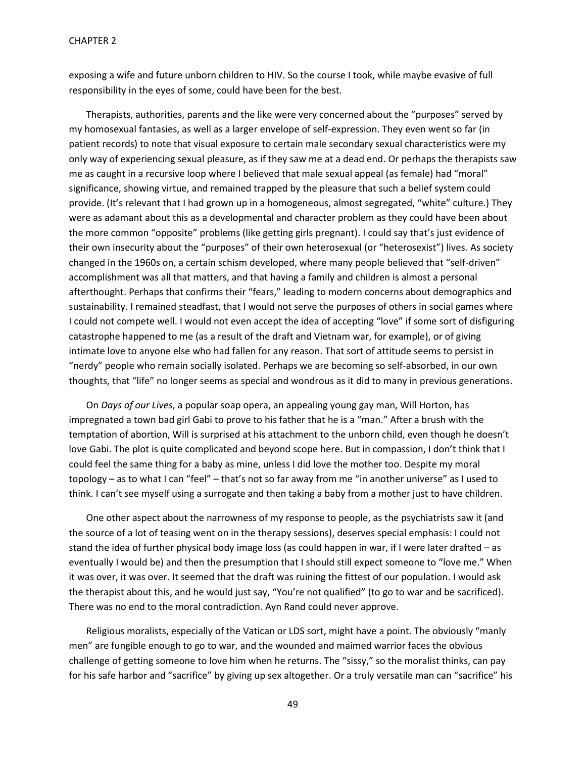exposing a wife and future unborn children to HIV. So the course I took, while maybe evasive of full responsibility in the eyes of some, could have been for the best.

Therapists, authorities, parents and the like were very concerned about the "purposes" served by my homosexual fantasies, as well as a larger envelope of self-expression. They even went so far (in patient records) to note that visual exposure to certain male secondary sexual characteristics were my only way of experiencing sexual pleasure, as if they saw me at a dead end. Or perhaps the therapists saw me as caught in a recursive loop where I believed that male sexual appeal (as female) had "moral" significance, showing virtue, and remained trapped by the pleasure that such a belief system could provide. (It's relevant that I had grown up in a homogeneous, almost segregated, "white" culture.) They were as adamant about this as a developmental and character problem as they could have been about the more common "opposite" problems (like getting girls pregnant). I could say that's just evidence of their own insecurity about the "purposes" of their own heterosexual (or "heterosexist") lives. As society changed in the 1960s on, a certain schism developed, where many people believed that "self-driven" accomplishment was all that matters, and that having a family and children is almost a personal afterthought. Perhaps that confirms their "fears," leading to modern concerns about demographics and sustainability. I remained steadfast, that I would not serve the purposes of others in social games where I could not compete well. I would not even accept the idea of accepting "love" if some sort of disfiguring catastrophe happened to me (as a result of the draft and Vietnam war, for example), or of giving intimate love to anyone else who had fallen for any reason. That sort of attitude seems to persist in "nerdy" people who remain socially isolated. Perhaps we are becoming so self-absorbed, in our own thoughts, that "life" no longer seems as special and wondrous as it did to many in previous generations.

On *Days of our Lives*, a popular soap opera, an appealing young gay man, Will Horton, has impregnated a town bad girl Gabi to prove to his father that he is a "man." After a brush with the temptation of abortion, Will is surprised at his attachment to the unborn child, even though he doesn't love Gabi. The plot is quite complicated and beyond scope here. But in compassion, I don't think that I could feel the same thing for a baby as mine, unless I did love the mother too. Despite my moral topology – as to what I can "feel" – that's not so far away from me "in another universe" as I used to think. I can't see myself using a surrogate and then taking a baby from a mother just to have children.

One other aspect about the narrowness of my response to people, as the psychiatrists saw it (and the source of a lot of teasing went on in the therapy sessions), deserves special emphasis: I could not stand the idea of further physical body image loss (as could happen in war, if I were later drafted – as eventually I would be) and then the presumption that I should still expect someone to "love me." When it was over, it was over. It seemed that the draft was ruining the fittest of our population. I would ask the therapist about this, and he would just say, "You're not qualified" (to go to war and be sacrificed). There was no end to the moral contradiction. Ayn Rand could never approve.

Religious moralists, especially of the Vatican or LDS sort, might have a point. The obviously "manly men" are fungible enough to go to war, and the wounded and maimed warrior faces the obvious challenge of getting someone to love him when he returns. The "sissy," so the moralist thinks, can pay for his safe harbor and "sacrifice" by giving up sex altogether. Or a truly versatile man can "sacrifice" his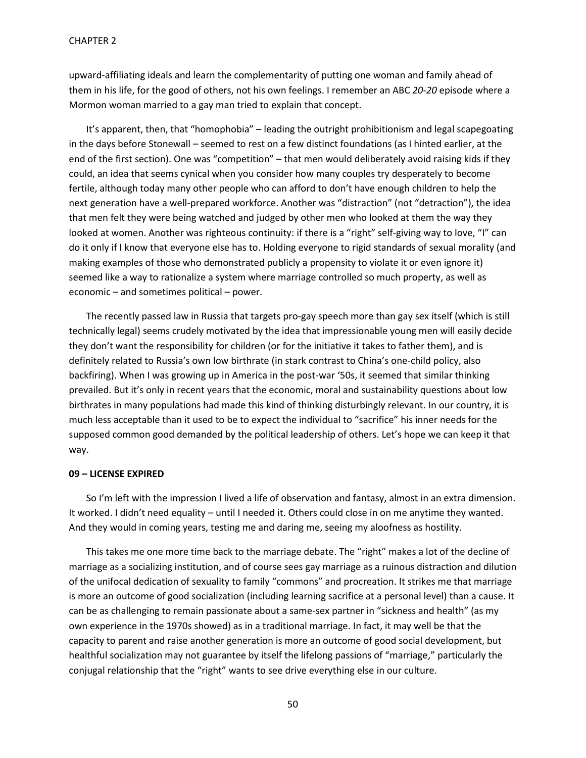upward-affiliating ideals and learn the complementarity of putting one woman and family ahead of them in his life, for the good of others, not his own feelings. I remember an ABC *20-20* episode where a Mormon woman married to a gay man tried to explain that concept.

It's apparent, then, that "homophobia" – leading the outright prohibitionism and legal scapegoating in the days before Stonewall – seemed to rest on a few distinct foundations (as I hinted earlier, at the end of the first section). One was "competition" – that men would deliberately avoid raising kids if they could, an idea that seems cynical when you consider how many couples try desperately to become fertile, although today many other people who can afford to don't have enough children to help the next generation have a well-prepared workforce. Another was "distraction" (not "detraction"), the idea that men felt they were being watched and judged by other men who looked at them the way they looked at women. Another was righteous continuity: if there is a "right" self-giving way to love, "I" can do it only if I know that everyone else has to. Holding everyone to rigid standards of sexual morality (and making examples of those who demonstrated publicly a propensity to violate it or even ignore it) seemed like a way to rationalize a system where marriage controlled so much property, as well as economic – and sometimes political – power.

The recently passed law in Russia that targets pro-gay speech more than gay sex itself (which is still technically legal) seems crudely motivated by the idea that impressionable young men will easily decide they don't want the responsibility for children (or for the initiative it takes to father them), and is definitely related to Russia's own low birthrate (in stark contrast to China's one-child policy, also backfiring). When I was growing up in America in the post-war '50s, it seemed that similar thinking prevailed. But it's only in recent years that the economic, moral and sustainability questions about low birthrates in many populations had made this kind of thinking disturbingly relevant. In our country, it is much less acceptable than it used to be to expect the individual to "sacrifice" his inner needs for the supposed common good demanded by the political leadership of others. Let's hope we can keep it that way.

## **09 – LICENSE EXPIRED**

So I'm left with the impression I lived a life of observation and fantasy, almost in an extra dimension. It worked. I didn't need equality – until I needed it. Others could close in on me anytime they wanted. And they would in coming years, testing me and daring me, seeing my aloofness as hostility.

This takes me one more time back to the marriage debate. The "right" makes a lot of the decline of marriage as a socializing institution, and of course sees gay marriage as a ruinous distraction and dilution of the unifocal dedication of sexuality to family "commons" and procreation. It strikes me that marriage is more an outcome of good socialization (including learning sacrifice at a personal level) than a cause. It can be as challenging to remain passionate about a same-sex partner in "sickness and health" (as my own experience in the 1970s showed) as in a traditional marriage. In fact, it may well be that the capacity to parent and raise another generation is more an outcome of good social development, but healthful socialization may not guarantee by itself the lifelong passions of "marriage," particularly the conjugal relationship that the "right" wants to see drive everything else in our culture.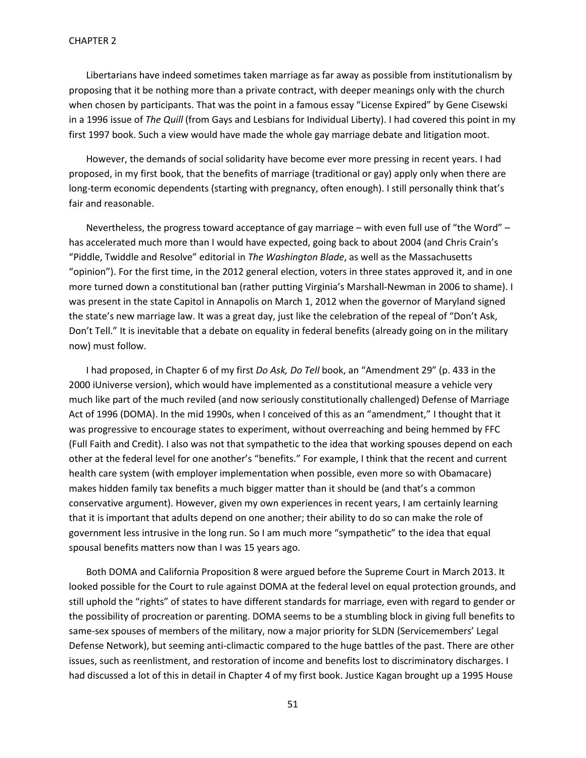Libertarians have indeed sometimes taken marriage as far away as possible from institutionalism by proposing that it be nothing more than a private contract, with deeper meanings only with the church when chosen by participants. That was the point in a famous essay "License Expired" by Gene Cisewski in a 1996 issue of *The Quill* (from Gays and Lesbians for Individual Liberty). I had covered this point in my first 1997 book. Such a view would have made the whole gay marriage debate and litigation moot.

However, the demands of social solidarity have become ever more pressing in recent years. I had proposed, in my first book, that the benefits of marriage (traditional or gay) apply only when there are long-term economic dependents (starting with pregnancy, often enough). I still personally think that's fair and reasonable.

Nevertheless, the progress toward acceptance of gay marriage – with even full use of "the Word" – has accelerated much more than I would have expected, going back to about 2004 (and Chris Crain's "Piddle, Twiddle and Resolve" editorial in *The Washington Blade*, as well as the Massachusetts "opinion"). For the first time, in the 2012 general election, voters in three states approved it, and in one more turned down a constitutional ban (rather putting Virginia's Marshall-Newman in 2006 to shame). I was present in the state Capitol in Annapolis on March 1, 2012 when the governor of Maryland signed the state's new marriage law. It was a great day, just like the celebration of the repeal of "Don't Ask, Don't Tell." It is inevitable that a debate on equality in federal benefits (already going on in the military now) must follow.

I had proposed, in Chapter 6 of my first *Do Ask, Do Tell* book, an "Amendment 29" (p. 433 in the 2000 iUniverse version), which would have implemented as a constitutional measure a vehicle very much like part of the much reviled (and now seriously constitutionally challenged) Defense of Marriage Act of 1996 (DOMA). In the mid 1990s, when I conceived of this as an "amendment," I thought that it was progressive to encourage states to experiment, without overreaching and being hemmed by FFC (Full Faith and Credit). I also was not that sympathetic to the idea that working spouses depend on each other at the federal level for one another's "benefits." For example, I think that the recent and current health care system (with employer implementation when possible, even more so with Obamacare) makes hidden family tax benefits a much bigger matter than it should be (and that's a common conservative argument). However, given my own experiences in recent years, I am certainly learning that it is important that adults depend on one another; their ability to do so can make the role of government less intrusive in the long run. So I am much more "sympathetic" to the idea that equal spousal benefits matters now than I was 15 years ago.

Both DOMA and California Proposition 8 were argued before the Supreme Court in March 2013. It looked possible for the Court to rule against DOMA at the federal level on equal protection grounds, and still uphold the "rights" of states to have different standards for marriage, even with regard to gender or the possibility of procreation or parenting. DOMA seems to be a stumbling block in giving full benefits to same-sex spouses of members of the military, now a major priority for SLDN (Servicemembers' Legal Defense Network), but seeming anti-climactic compared to the huge battles of the past. There are other issues, such as reenlistment, and restoration of income and benefits lost to discriminatory discharges. I had discussed a lot of this in detail in Chapter 4 of my first book. Justice Kagan brought up a 1995 House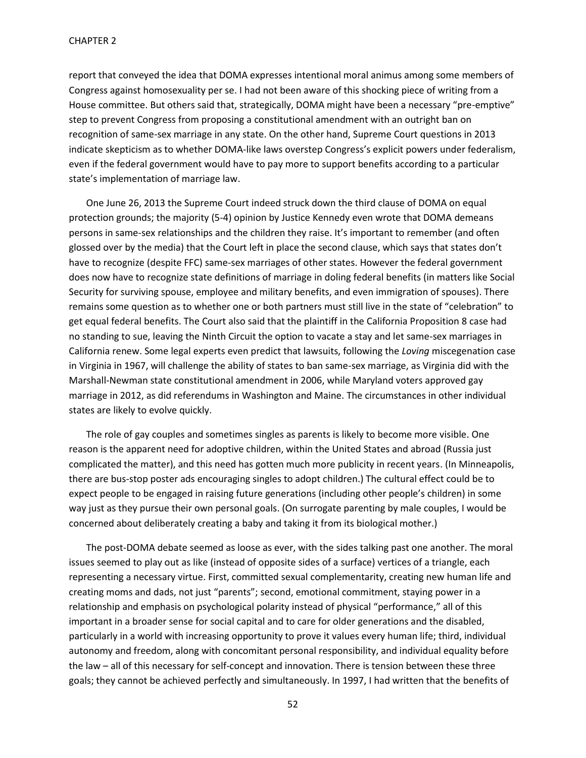report that conveyed the idea that DOMA expresses intentional moral animus among some members of Congress against homosexuality per se. I had not been aware of this shocking piece of writing from a House committee. But others said that, strategically, DOMA might have been a necessary "pre-emptive" step to prevent Congress from proposing a constitutional amendment with an outright ban on recognition of same-sex marriage in any state. On the other hand, Supreme Court questions in 2013 indicate skepticism as to whether DOMA-like laws overstep Congress's explicit powers under federalism, even if the federal government would have to pay more to support benefits according to a particular state's implementation of marriage law.

One June 26, 2013 the Supreme Court indeed struck down the third clause of DOMA on equal protection grounds; the majority (5-4) opinion by Justice Kennedy even wrote that DOMA demeans persons in same-sex relationships and the children they raise. It's important to remember (and often glossed over by the media) that the Court left in place the second clause, which says that states don't have to recognize (despite FFC) same-sex marriages of other states. However the federal government does now have to recognize state definitions of marriage in doling federal benefits (in matters like Social Security for surviving spouse, employee and military benefits, and even immigration of spouses). There remains some question as to whether one or both partners must still live in the state of "celebration" to get equal federal benefits. The Court also said that the plaintiff in the California Proposition 8 case had no standing to sue, leaving the Ninth Circuit the option to vacate a stay and let same-sex marriages in California renew. Some legal experts even predict that lawsuits, following the *Loving* miscegenation case in Virginia in 1967, will challenge the ability of states to ban same-sex marriage, as Virginia did with the Marshall-Newman state constitutional amendment in 2006, while Maryland voters approved gay marriage in 2012, as did referendums in Washington and Maine. The circumstances in other individual states are likely to evolve quickly.

The role of gay couples and sometimes singles as parents is likely to become more visible. One reason is the apparent need for adoptive children, within the United States and abroad (Russia just complicated the matter), and this need has gotten much more publicity in recent years. (In Minneapolis, there are bus-stop poster ads encouraging singles to adopt children.) The cultural effect could be to expect people to be engaged in raising future generations (including other people's children) in some way just as they pursue their own personal goals. (On surrogate parenting by male couples, I would be concerned about deliberately creating a baby and taking it from its biological mother.)

The post-DOMA debate seemed as loose as ever, with the sides talking past one another. The moral issues seemed to play out as like (instead of opposite sides of a surface) vertices of a triangle, each representing a necessary virtue. First, committed sexual complementarity, creating new human life and creating moms and dads, not just "parents"; second, emotional commitment, staying power in a relationship and emphasis on psychological polarity instead of physical "performance," all of this important in a broader sense for social capital and to care for older generations and the disabled, particularly in a world with increasing opportunity to prove it values every human life; third, individual autonomy and freedom, along with concomitant personal responsibility, and individual equality before the law – all of this necessary for self-concept and innovation. There is tension between these three goals; they cannot be achieved perfectly and simultaneously. In 1997, I had written that the benefits of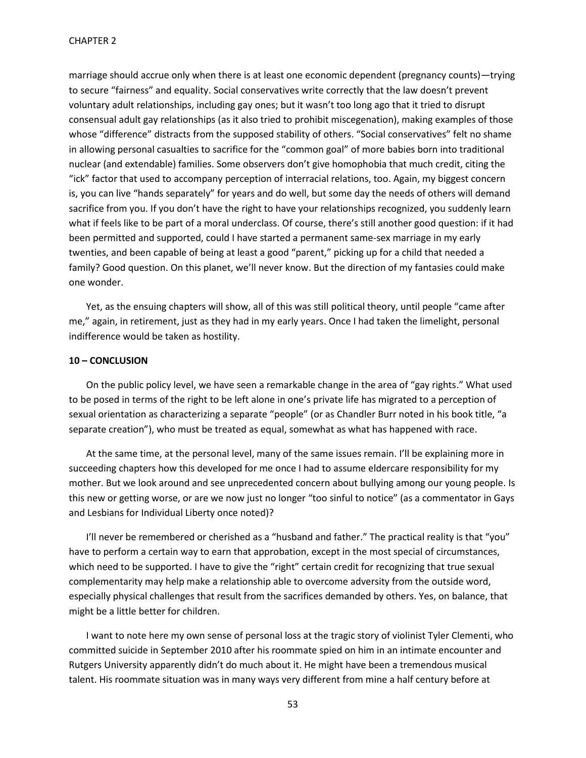marriage should accrue only when there is at least one economic dependent (pregnancy counts)—trying to secure "fairness" and equality. Social conservatives write correctly that the law doesn't prevent voluntary adult relationships, including gay ones; but it wasn't too long ago that it tried to disrupt consensual adult gay relationships (as it also tried to prohibit miscegenation), making examples of those whose "difference" distracts from the supposed stability of others. "Social conservatives" felt no shame in allowing personal casualties to sacrifice for the "common goal" of more babies born into traditional nuclear (and extendable) families. Some observers don't give homophobia that much credit, citing the "ick" factor that used to accompany perception of interracial relations, too. Again, my biggest concern is, you can live "hands separately" for years and do well, but some day the needs of others will demand sacrifice from you. If you don't have the right to have your relationships recognized, you suddenly learn what if feels like to be part of a moral underclass. Of course, there's still another good question: if it had been permitted and supported, could I have started a permanent same-sex marriage in my early twenties, and been capable of being at least a good "parent," picking up for a child that needed a family? Good question. On this planet, we'll never know. But the direction of my fantasies could make one wonder.

Yet, as the ensuing chapters will show, all of this was still political theory, until people "came after me," again, in retirement, just as they had in my early years. Once I had taken the limelight, personal indifference would be taken as hostility.

#### **10 – CONCLUSION**

On the public policy level, we have seen a remarkable change in the area of "gay rights." What used to be posed in terms of the right to be left alone in one's private life has migrated to a perception of sexual orientation as characterizing a separate "people" (or as Chandler Burr noted in his book title, "a separate creation"), who must be treated as equal, somewhat as what has happened with race.

At the same time, at the personal level, many of the same issues remain. I'll be explaining more in succeeding chapters how this developed for me once I had to assume eldercare responsibility for my mother. But we look around and see unprecedented concern about bullying among our young people. Is this new or getting worse, or are we now just no longer "too sinful to notice" (as a commentator in Gays and Lesbians for Individual Liberty once noted)?

I'll never be remembered or cherished as a "husband and father." The practical reality is that "you" have to perform a certain way to earn that approbation, except in the most special of circumstances, which need to be supported. I have to give the "right" certain credit for recognizing that true sexual complementarity may help make a relationship able to overcome adversity from the outside word, especially physical challenges that result from the sacrifices demanded by others. Yes, on balance, that might be a little better for children.

I want to note here my own sense of personal loss at the tragic story of violinist Tyler Clementi, who committed suicide in September 2010 after his roommate spied on him in an intimate encounter and Rutgers University apparently didn't do much about it. He might have been a tremendous musical talent. His roommate situation was in many ways very different from mine a half century before at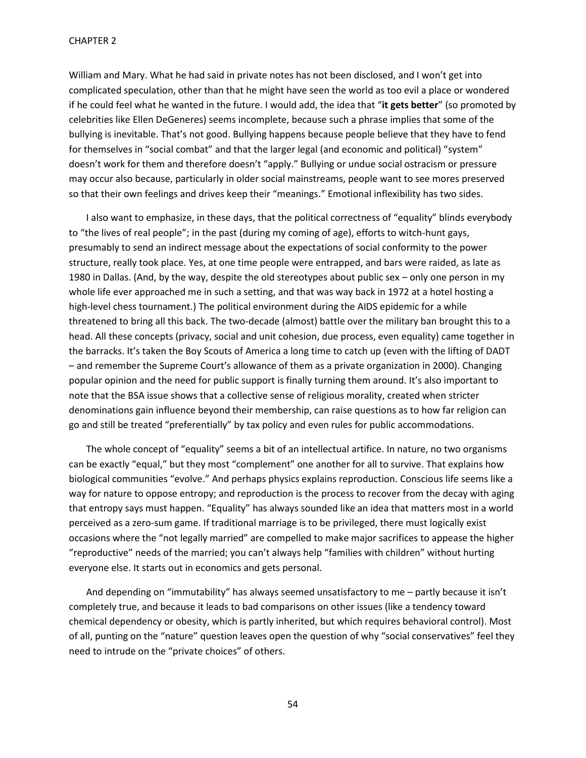William and Mary. What he had said in private notes has not been disclosed, and I won't get into complicated speculation, other than that he might have seen the world as too evil a place or wondered if he could feel what he wanted in the future. I would add, the idea that "**it gets better**" (so promoted by celebrities like Ellen DeGeneres) seems incomplete, because such a phrase implies that some of the bullying is inevitable. That's not good. Bullying happens because people believe that they have to fend for themselves in "social combat" and that the larger legal (and economic and political) "system" doesn't work for them and therefore doesn't "apply." Bullying or undue social ostracism or pressure may occur also because, particularly in older social mainstreams, people want to see mores preserved so that their own feelings and drives keep their "meanings." Emotional inflexibility has two sides.

I also want to emphasize, in these days, that the political correctness of "equality" blinds everybody to "the lives of real people"; in the past (during my coming of age), efforts to witch-hunt gays, presumably to send an indirect message about the expectations of social conformity to the power structure, really took place. Yes, at one time people were entrapped, and bars were raided, as late as 1980 in Dallas. (And, by the way, despite the old stereotypes about public sex – only one person in my whole life ever approached me in such a setting, and that was way back in 1972 at a hotel hosting a high-level chess tournament.) The political environment during the AIDS epidemic for a while threatened to bring all this back. The two-decade (almost) battle over the military ban brought this to a head. All these concepts (privacy, social and unit cohesion, due process, even equality) came together in the barracks. It's taken the Boy Scouts of America a long time to catch up (even with the lifting of DADT – and remember the Supreme Court's allowance of them as a private organization in 2000). Changing popular opinion and the need for public support is finally turning them around. It's also important to note that the BSA issue shows that a collective sense of religious morality, created when stricter denominations gain influence beyond their membership, can raise questions as to how far religion can go and still be treated "preferentially" by tax policy and even rules for public accommodations.

The whole concept of "equality" seems a bit of an intellectual artifice. In nature, no two organisms can be exactly "equal," but they most "complement" one another for all to survive. That explains how biological communities "evolve." And perhaps physics explains reproduction. Conscious life seems like a way for nature to oppose entropy; and reproduction is the process to recover from the decay with aging that entropy says must happen. "Equality" has always sounded like an idea that matters most in a world perceived as a zero-sum game. If traditional marriage is to be privileged, there must logically exist occasions where the "not legally married" are compelled to make major sacrifices to appease the higher "reproductive" needs of the married; you can't always help "families with children" without hurting everyone else. It starts out in economics and gets personal.

And depending on "immutability" has always seemed unsatisfactory to me – partly because it isn't completely true, and because it leads to bad comparisons on other issues (like a tendency toward chemical dependency or obesity, which is partly inherited, but which requires behavioral control). Most of all, punting on the "nature" question leaves open the question of why "social conservatives" feel they need to intrude on the "private choices" of others.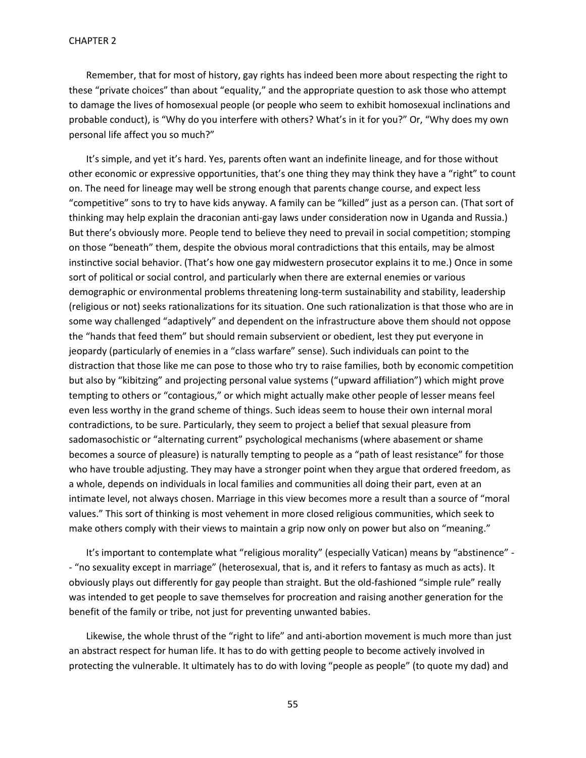Remember, that for most of history, gay rights has indeed been more about respecting the right to these "private choices" than about "equality," and the appropriate question to ask those who attempt to damage the lives of homosexual people (or people who seem to exhibit homosexual inclinations and probable conduct), is "Why do you interfere with others? What's in it for you?" Or, "Why does my own personal life affect you so much?"

It's simple, and yet it's hard. Yes, parents often want an indefinite lineage, and for those without other economic or expressive opportunities, that's one thing they may think they have a "right" to count on. The need for lineage may well be strong enough that parents change course, and expect less "competitive" sons to try to have kids anyway. A family can be "killed" just as a person can. (That sort of thinking may help explain the draconian anti-gay laws under consideration now in Uganda and Russia.) But there's obviously more. People tend to believe they need to prevail in social competition; stomping on those "beneath" them, despite the obvious moral contradictions that this entails, may be almost instinctive social behavior. (That's how one gay midwestern prosecutor explains it to me.) Once in some sort of political or social control, and particularly when there are external enemies or various demographic or environmental problems threatening long-term sustainability and stability, leadership (religious or not) seeks rationalizations for its situation. One such rationalization is that those who are in some way challenged "adaptively" and dependent on the infrastructure above them should not oppose the "hands that feed them" but should remain subservient or obedient, lest they put everyone in jeopardy (particularly of enemies in a "class warfare" sense). Such individuals can point to the distraction that those like me can pose to those who try to raise families, both by economic competition but also by "kibitzing" and projecting personal value systems ("upward affiliation") which might prove tempting to others or "contagious," or which might actually make other people of lesser means feel even less worthy in the grand scheme of things. Such ideas seem to house their own internal moral contradictions, to be sure. Particularly, they seem to project a belief that sexual pleasure from sadomasochistic or "alternating current" psychological mechanisms (where abasement or shame becomes a source of pleasure) is naturally tempting to people as a "path of least resistance" for those who have trouble adjusting. They may have a stronger point when they argue that ordered freedom, as a whole, depends on individuals in local families and communities all doing their part, even at an intimate level, not always chosen. Marriage in this view becomes more a result than a source of "moral values." This sort of thinking is most vehement in more closed religious communities, which seek to make others comply with their views to maintain a grip now only on power but also on "meaning."

It's important to contemplate what "religious morality" (especially Vatican) means by "abstinence" - - "no sexuality except in marriage" (heterosexual, that is, and it refers to fantasy as much as acts). It obviously plays out differently for gay people than straight. But the old-fashioned "simple rule" really was intended to get people to save themselves for procreation and raising another generation for the benefit of the family or tribe, not just for preventing unwanted babies.

Likewise, the whole thrust of the "right to life" and anti-abortion movement is much more than just an abstract respect for human life. It has to do with getting people to become actively involved in protecting the vulnerable. It ultimately has to do with loving "people as people" (to quote my dad) and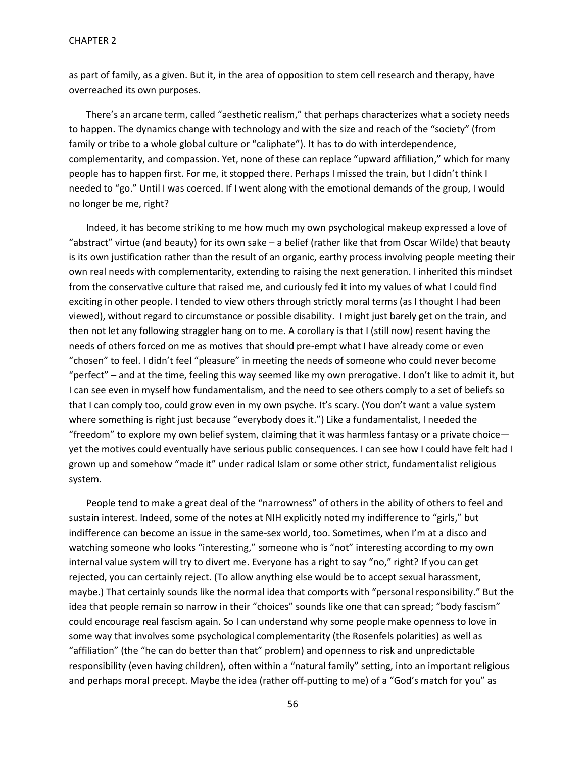as part of family, as a given. But it, in the area of opposition to stem cell research and therapy, have overreached its own purposes.

There's an arcane term, called "aesthetic realism," that perhaps characterizes what a society needs to happen. The dynamics change with technology and with the size and reach of the "society" (from family or tribe to a whole global culture or "caliphate"). It has to do with interdependence, complementarity, and compassion. Yet, none of these can replace "upward affiliation," which for many people has to happen first. For me, it stopped there. Perhaps I missed the train, but I didn't think I needed to "go." Until I was coerced. If I went along with the emotional demands of the group, I would no longer be me, right?

Indeed, it has become striking to me how much my own psychological makeup expressed a love of "abstract" virtue (and beauty) for its own sake – a belief (rather like that from Oscar Wilde) that beauty is its own justification rather than the result of an organic, earthy process involving people meeting their own real needs with complementarity, extending to raising the next generation. I inherited this mindset from the conservative culture that raised me, and curiously fed it into my values of what I could find exciting in other people. I tended to view others through strictly moral terms (as I thought I had been viewed), without regard to circumstance or possible disability. I might just barely get on the train, and then not let any following straggler hang on to me. A corollary is that I (still now) resent having the needs of others forced on me as motives that should pre-empt what I have already come or even "chosen" to feel. I didn't feel "pleasure" in meeting the needs of someone who could never become "perfect" – and at the time, feeling this way seemed like my own prerogative. I don't like to admit it, but I can see even in myself how fundamentalism, and the need to see others comply to a set of beliefs so that I can comply too, could grow even in my own psyche. It's scary. (You don't want a value system where something is right just because "everybody does it.") Like a fundamentalist, I needed the "freedom" to explore my own belief system, claiming that it was harmless fantasy or a private choice yet the motives could eventually have serious public consequences. I can see how I could have felt had I grown up and somehow "made it" under radical Islam or some other strict, fundamentalist religious system.

People tend to make a great deal of the "narrowness" of others in the ability of others to feel and sustain interest. Indeed, some of the notes at NIH explicitly noted my indifference to "girls," but indifference can become an issue in the same-sex world, too. Sometimes, when I'm at a disco and watching someone who looks "interesting," someone who is "not" interesting according to my own internal value system will try to divert me. Everyone has a right to say "no," right? If you can get rejected, you can certainly reject. (To allow anything else would be to accept sexual harassment, maybe.) That certainly sounds like the normal idea that comports with "personal responsibility." But the idea that people remain so narrow in their "choices" sounds like one that can spread; "body fascism" could encourage real fascism again. So I can understand why some people make openness to love in some way that involves some psychological complementarity (the Rosenfels polarities) as well as "affiliation" (the "he can do better than that" problem) and openness to risk and unpredictable responsibility (even having children), often within a "natural family" setting, into an important religious and perhaps moral precept. Maybe the idea (rather off-putting to me) of a "God's match for you" as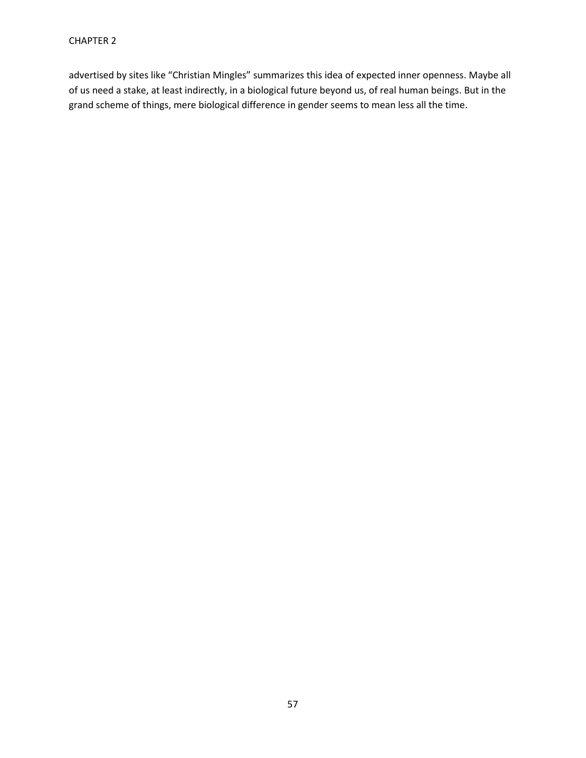advertised by sites like "Christian Mingles" summarizes this idea of expected inner openness. Maybe all of us need a stake, at least indirectly, in a biological future beyond us, of real human beings. But in the grand scheme of things, mere biological difference in gender seems to mean less all the time.